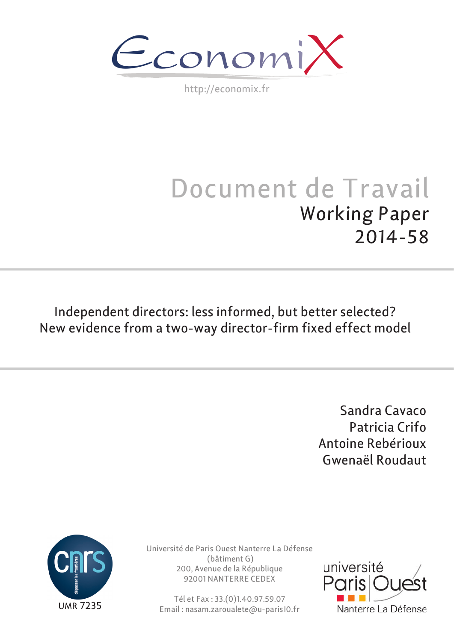Economi

http://economix.fr

# Document de Travail Working Paper 2014-58

Independent directors: less informed, but better selected? New evidence from a two-way director-firm fixed effect model

> Sandra Cavaco Patricia Crifo Antoine Rebérioux Gwenaël Roudaut



Université de Paris Ouest Nanterre La Défense (bâtiment G) 200, Avenue de la République 92001 NANTERRE CEDEX

Tél et Fax : 33.(0)1.40.97.59.07 Email : nasam.zaroualete@u-paris10.fr

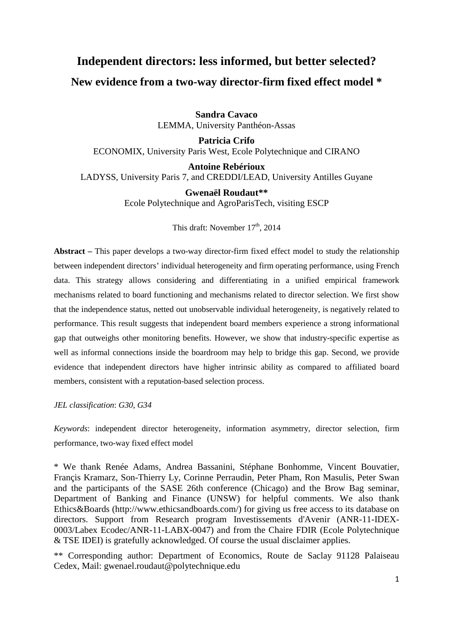# **Independent directors: less informed, but better selected? New evidence from a two-way director-firm fixed effect model \***

**Sandra Cavaco**  LEMMA, University Panthéon-Assas

**Patricia Crifo**  ECONOMIX, University Paris West, Ecole Polytechnique and CIRANO

**Antoine Rebérioux** 

LADYSS, University Paris 7, and CREDDI/LEAD, University Antilles Guyane

**Gwenaël Roudaut\*\***  Ecole Polytechnique and AgroParisTech, visiting ESCP

This draft: November  $17<sup>th</sup>$ , 2014

**Abstract –** This paper develops a two-way director-firm fixed effect model to study the relationship between independent directors' individual heterogeneity and firm operating performance, using French data. This strategy allows considering and differentiating in a unified empirical framework mechanisms related to board functioning and mechanisms related to director selection. We first show that the independence status, netted out unobservable individual heterogeneity, is negatively related to performance. This result suggests that independent board members experience a strong informational gap that outweighs other monitoring benefits. However, we show that industry-specific expertise as well as informal connections inside the boardroom may help to bridge this gap. Second, we provide evidence that independent directors have higher intrinsic ability as compared to affiliated board members, consistent with a reputation-based selection process.

*JEL classification*: *G30, G34*

*Keywords*: independent director heterogeneity, information asymmetry, director selection, firm performance, two-way fixed effect model

\* We thank Renée Adams, Andrea Bassanini, Stéphane Bonhomme, Vincent Bouvatier, Françis Kramarz, Son-Thierry Ly, Corinne Perraudin, Peter Pham, Ron Masulis, Peter Swan and the participants of the SASE 26th conference (Chicago) and the Brow Bag seminar, Department of Banking and Finance (UNSW) for helpful comments. We also thank Ethics&Boards (http://www.ethicsandboards.com/) for giving us free access to its database on directors. Support from Research program Investissements d'Avenir (ANR-11-IDEX-0003/Labex Ecodec/ANR-11-LABX-0047) and from the Chaire FDIR (Ecole Polytechnique & TSE IDEI) is gratefully acknowledged. Of course the usual disclaimer applies.

\*\* Corresponding author: Department of Economics, Route de Saclay 91128 Palaiseau Cedex, Mail: gwenael.roudaut@polytechnique.edu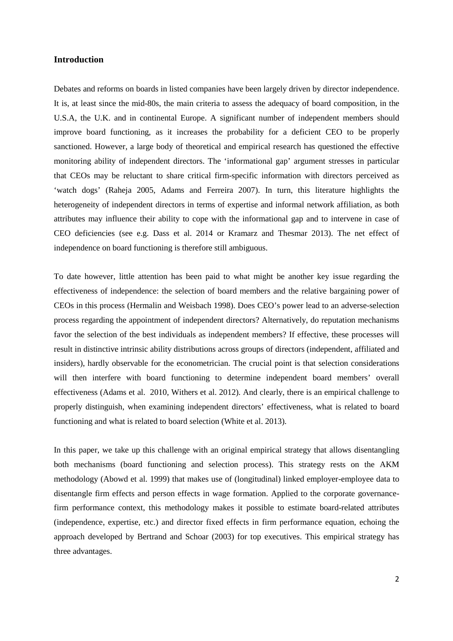#### **Introduction**

Debates and reforms on boards in listed companies have been largely driven by director independence. It is, at least since the mid-80s, the main criteria to assess the adequacy of board composition, in the U.S.A, the U.K. and in continental Europe. A significant number of independent members should improve board functioning, as it increases the probability for a deficient CEO to be properly sanctioned. However, a large body of theoretical and empirical research has questioned the effective monitoring ability of independent directors. The 'informational gap' argument stresses in particular that CEOs may be reluctant to share critical firm-specific information with directors perceived as 'watch dogs' (Raheja 2005, Adams and Ferreira 2007). In turn, this literature highlights the heterogeneity of independent directors in terms of expertise and informal network affiliation, as both attributes may influence their ability to cope with the informational gap and to intervene in case of CEO deficiencies (see e.g. Dass et al. 2014 or Kramarz and Thesmar 2013). The net effect of independence on board functioning is therefore still ambiguous.

To date however, little attention has been paid to what might be another key issue regarding the effectiveness of independence: the selection of board members and the relative bargaining power of CEOs in this process (Hermalin and Weisbach 1998). Does CEO's power lead to an adverse-selection process regarding the appointment of independent directors? Alternatively, do reputation mechanisms favor the selection of the best individuals as independent members? If effective, these processes will result in distinctive intrinsic ability distributions across groups of directors (independent, affiliated and insiders), hardly observable for the econometrician. The crucial point is that selection considerations will then interfere with board functioning to determine independent board members' overall effectiveness (Adams et al. 2010, Withers et al. 2012). And clearly, there is an empirical challenge to properly distinguish, when examining independent directors' effectiveness, what is related to board functioning and what is related to board selection (White et al. 2013).

In this paper, we take up this challenge with an original empirical strategy that allows disentangling both mechanisms (board functioning and selection process). This strategy rests on the AKM methodology (Abowd et al. 1999) that makes use of (longitudinal) linked employer-employee data to disentangle firm effects and person effects in wage formation. Applied to the corporate governancefirm performance context, this methodology makes it possible to estimate board-related attributes (independence, expertise, etc.) and director fixed effects in firm performance equation, echoing the approach developed by Bertrand and Schoar (2003) for top executives. This empirical strategy has three advantages.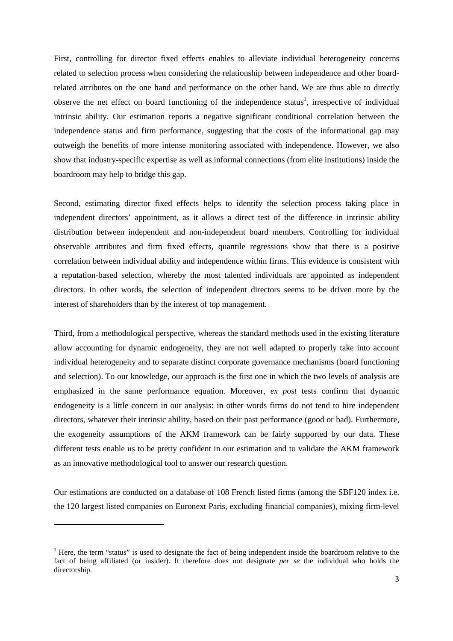First, controlling for director fixed effects enables to alleviate individual heterogeneity concerns related to selection process when considering the relationship between independence and other boardrelated attributes on the one hand and performance on the other hand. We are thus able to directly observe the net effect on board functioning of the independence status<sup>1</sup>, irrespective of individual intrinsic ability. Our estimation reports a negative significant conditional correlation between the independence status and firm performance, suggesting that the costs of the informational gap may outweigh the benefits of more intense monitoring associated with independence. However, we also show that industry-specific expertise as well as informal connections (from elite institutions) inside the boardroom may help to bridge this gap.

Second, estimating director fixed effects helps to identify the selection process taking place in independent directors' appointment, as it allows a direct test of the difference in intrinsic ability distribution between independent and non-independent board members. Controlling for individual observable attributes and firm fixed effects, quantile regressions show that there is a positive correlation between individual ability and independence within firms. This evidence is consistent with a reputation-based selection, whereby the most talented individuals are appointed as independent directors. In other words, the selection of independent directors seems to be driven more by the interest of shareholders than by the interest of top management.

Third, from a methodological perspective, whereas the standard methods used in the existing literature allow accounting for dynamic endogeneity, they are not well adapted to properly take into account individual heterogeneity and to separate distinct corporate governance mechanisms (board functioning and selection). To our knowledge, our approach is the first one in which the two levels of analysis are emphasized in the same performance equation. Moreover, *ex post* tests confirm that dynamic endogeneity is a little concern in our analysis: in other words firms do not tend to hire independent directors, whatever their intrinsic ability, based on their past performance (good or bad). Furthermore, the exogeneity assumptions of the AKM framework can be fairly supported by our data. These different tests enable us to be pretty confident in our estimation and to validate the AKM framework as an innovative methodological tool to answer our research question.

Our estimations are conducted on a database of 108 French listed firms (among the SBF120 index i.e. the 120 largest listed companies on Euronext Paris, excluding financial companies), mixing firm-level

 $\overline{\phantom{a}}$ 

 $<sup>1</sup>$  Here, the term "status" is used to designate the fact of being independent inside the boardroom relative to the</sup> fact of being affiliated (or insider). It therefore does not designate *per se* the individual who holds the directorship.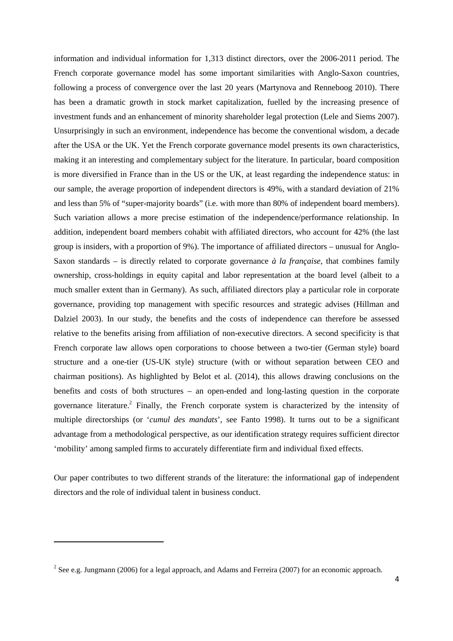information and individual information for 1,313 distinct directors, over the 2006-2011 period. The French corporate governance model has some important similarities with Anglo-Saxon countries, following a process of convergence over the last 20 years (Martynova and Renneboog 2010). There has been a dramatic growth in stock market capitalization, fuelled by the increasing presence of investment funds and an enhancement of minority shareholder legal protection (Lele and Siems 2007). Unsurprisingly in such an environment, independence has become the conventional wisdom, a decade after the USA or the UK. Yet the French corporate governance model presents its own characteristics, making it an interesting and complementary subject for the literature. In particular, board composition is more diversified in France than in the US or the UK, at least regarding the independence status: in our sample, the average proportion of independent directors is 49%, with a standard deviation of 21% and less than 5% of "super-majority boards" (i.e. with more than 80% of independent board members). Such variation allows a more precise estimation of the independence/performance relationship. In addition, independent board members cohabit with affiliated directors, who account for 42% (the last group is insiders, with a proportion of 9%). The importance of affiliated directors – unusual for Anglo-Saxon standards – is directly related to corporate governance *à la française*, that combines family ownership, cross-holdings in equity capital and labor representation at the board level (albeit to a much smaller extent than in Germany). As such, affiliated directors play a particular role in corporate governance, providing top management with specific resources and strategic advises (Hillman and Dalziel 2003). In our study, the benefits and the costs of independence can therefore be assessed relative to the benefits arising from affiliation of non-executive directors. A second specificity is that French corporate law allows open corporations to choose between a two-tier (German style) board structure and a one-tier (US-UK style) structure (with or without separation between CEO and chairman positions). As highlighted by Belot et al. (2014), this allows drawing conclusions on the benefits and costs of both structures – an open-ended and long-lasting question in the corporate governance literature.<sup>2</sup> Finally, the French corporate system is characterized by the intensity of multiple directorships (or '*cumul des mandats*', see Fanto 1998). It turns out to be a significant advantage from a methodological perspective, as our identification strategy requires sufficient director 'mobility' among sampled firms to accurately differentiate firm and individual fixed effects.

Our paper contributes to two different strands of the literature: the informational gap of independent directors and the role of individual talent in business conduct.

 $\overline{\phantom{a}}$ 

<sup>&</sup>lt;sup>2</sup> See e.g. Jungmann (2006) for a legal approach, and Adams and Ferreira (2007) for an economic approach.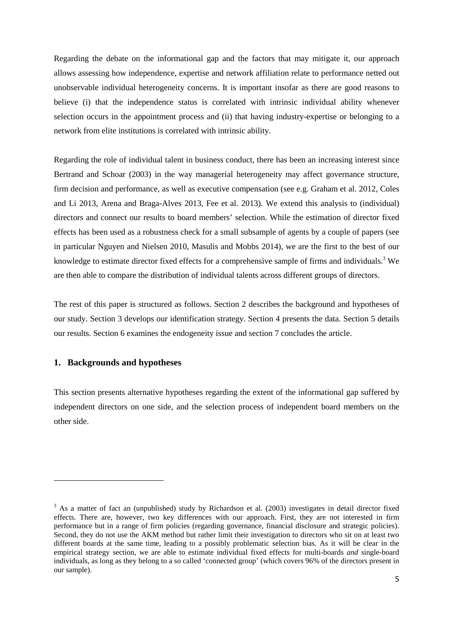Regarding the debate on the informational gap and the factors that may mitigate it, our approach allows assessing how independence, expertise and network affiliation relate to performance netted out unobservable individual heterogeneity concerns. It is important insofar as there are good reasons to believe (i) that the independence status is correlated with intrinsic individual ability whenever selection occurs in the appointment process and (ii) that having industry-expertise or belonging to a network from elite institutions is correlated with intrinsic ability.

Regarding the role of individual talent in business conduct, there has been an increasing interest since Bertrand and Schoar (2003) in the way managerial heterogeneity may affect governance structure, firm decision and performance, as well as executive compensation (see e.g. Graham et al. 2012, Coles and Li 2013, Arena and Braga-Alves 2013, Fee et al. 2013). We extend this analysis to (individual) directors and connect our results to board members' selection. While the estimation of director fixed effects has been used as a robustness check for a small subsample of agents by a couple of papers (see in particular Nguyen and Nielsen 2010, Masulis and Mobbs 2014), we are the first to the best of our knowledge to estimate director fixed effects for a comprehensive sample of firms and individuals.<sup>3</sup> We are then able to compare the distribution of individual talents across different groups of directors.

The rest of this paper is structured as follows. Section 2 describes the background and hypotheses of our study. Section 3 develops our identification strategy. Section 4 presents the data. Section 5 details our results. Section 6 examines the endogeneity issue and section 7 concludes the article.

#### **1. Backgrounds and hypotheses**

This section presents alternative hypotheses regarding the extent of the informational gap suffered by independent directors on one side, and the selection process of independent board members on the other side.

<sup>&</sup>lt;sup>3</sup> As a matter of fact an (unpublished) study by Richardson et al. (2003) investigates in detail director fixed effects. There are, however, two key differences with our approach. First, they are not interested in firm performance but in a range of firm policies (regarding governance, financial disclosure and strategic policies). Second, they do not use the AKM method but rather limit their investigation to directors who sit on at least two different boards at the same time, leading to a possibly problematic selection bias. As it will be clear in the empirical strategy section, we are able to estimate individual fixed effects for multi-boards *and* single-board individuals, as long as they belong to a so called 'connected group' (which covers 96% of the directors present in our sample).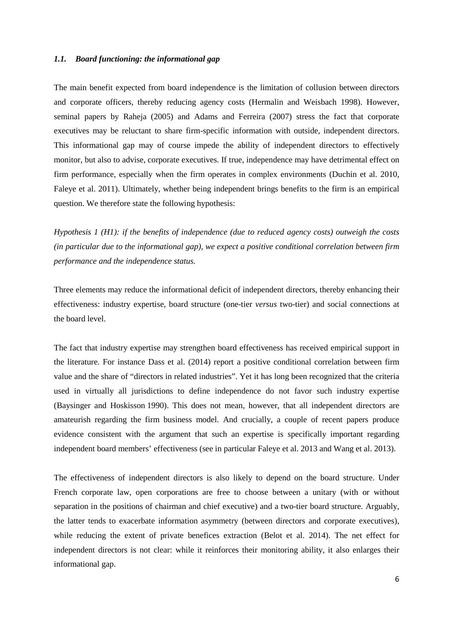#### *1.1. Board functioning: the informational gap*

The main benefit expected from board independence is the limitation of collusion between directors and corporate officers, thereby reducing agency costs (Hermalin and Weisbach 1998). However, seminal papers by Raheja (2005) and Adams and Ferreira (2007) stress the fact that corporate executives may be reluctant to share firm-specific information with outside, independent directors. This informational gap may of course impede the ability of independent directors to effectively monitor, but also to advise, corporate executives. If true, independence may have detrimental effect on firm performance, especially when the firm operates in complex environments (Duchin et al. 2010, Faleye et al. 2011). Ultimately, whether being independent brings benefits to the firm is an empirical question. We therefore state the following hypothesis:

*Hypothesis 1 (H1): if the benefits of independence (due to reduced agency costs) outweigh the costs (in particular due to the informational gap), we expect a positive conditional correlation between firm performance and the independence status.* 

Three elements may reduce the informational deficit of independent directors, thereby enhancing their effectiveness: industry expertise, board structure (one-tier *versus* two-tier) and social connections at the board level.

The fact that industry expertise may strengthen board effectiveness has received empirical support in the literature. For instance Dass et al. (2014) report a positive conditional correlation between firm value and the share of "directors in related industries". Yet it has long been recognized that the criteria used in virtually all jurisdictions to define independence do not favor such industry expertise (Baysinger and Hoskisson 1990). This does not mean, however, that all independent directors are amateurish regarding the firm business model. And crucially, a couple of recent papers produce evidence consistent with the argument that such an expertise is specifically important regarding independent board members' effectiveness (see in particular Faleye et al. 2013 and Wang et al. 2013).

The effectiveness of independent directors is also likely to depend on the board structure. Under French corporate law, open corporations are free to choose between a unitary (with or without separation in the positions of chairman and chief executive) and a two-tier board structure. Arguably, the latter tends to exacerbate information asymmetry (between directors and corporate executives), while reducing the extent of private benefices extraction (Belot et al. 2014). The net effect for independent directors is not clear: while it reinforces their monitoring ability, it also enlarges their informational gap.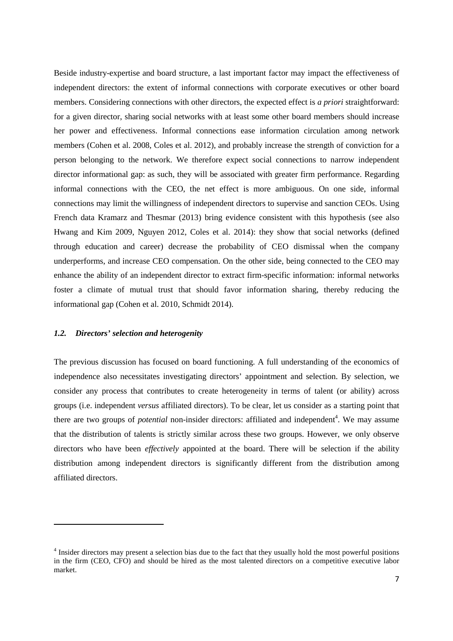Beside industry-expertise and board structure, a last important factor may impact the effectiveness of independent directors: the extent of informal connections with corporate executives or other board members. Considering connections with other directors, the expected effect is *a priori* straightforward: for a given director, sharing social networks with at least some other board members should increase her power and effectiveness. Informal connections ease information circulation among network members (Cohen et al. 2008, Coles et al. 2012), and probably increase the strength of conviction for a person belonging to the network. We therefore expect social connections to narrow independent director informational gap: as such, they will be associated with greater firm performance. Regarding informal connections with the CEO, the net effect is more ambiguous. On one side, informal connections may limit the willingness of independent directors to supervise and sanction CEOs. Using French data Kramarz and Thesmar (2013) bring evidence consistent with this hypothesis (see also Hwang and Kim 2009, Nguyen 2012, Coles et al. 2014): they show that social networks (defined through education and career) decrease the probability of CEO dismissal when the company underperforms, and increase CEO compensation. On the other side, being connected to the CEO may enhance the ability of an independent director to extract firm-specific information: informal networks foster a climate of mutual trust that should favor information sharing, thereby reducing the informational gap (Cohen et al. 2010, Schmidt 2014).

#### *1.2. Directors' selection and heterogenity*

 $\overline{\phantom{a}}$ 

The previous discussion has focused on board functioning. A full understanding of the economics of independence also necessitates investigating directors' appointment and selection. By selection, we consider any process that contributes to create heterogeneity in terms of talent (or ability) across groups (i.e. independent *versus* affiliated directors). To be clear, let us consider as a starting point that there are two groups of *potential* non-insider directors: affiliated and independent<sup>4</sup>. We may assume that the distribution of talents is strictly similar across these two groups. However, we only observe directors who have been *effectively* appointed at the board. There will be selection if the ability distribution among independent directors is significantly different from the distribution among affiliated directors.

<sup>&</sup>lt;sup>4</sup> Insider directors may present a selection bias due to the fact that they usually hold the most powerful positions in the firm (CEO, CFO) and should be hired as the most talented directors on a competitive executive labor market.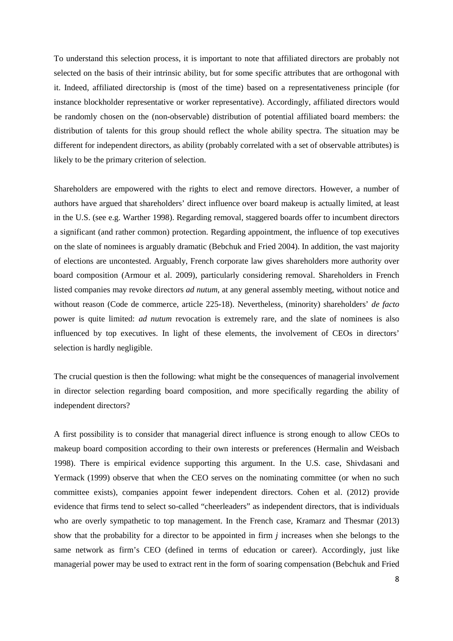To understand this selection process, it is important to note that affiliated directors are probably not selected on the basis of their intrinsic ability, but for some specific attributes that are orthogonal with it. Indeed, affiliated directorship is (most of the time) based on a representativeness principle (for instance blockholder representative or worker representative). Accordingly, affiliated directors would be randomly chosen on the (non-observable) distribution of potential affiliated board members: the distribution of talents for this group should reflect the whole ability spectra. The situation may be different for independent directors, as ability (probably correlated with a set of observable attributes) is likely to be the primary criterion of selection.

Shareholders are empowered with the rights to elect and remove directors. However, a number of authors have argued that shareholders' direct influence over board makeup is actually limited, at least in the U.S. (see e.g. Warther 1998). Regarding removal, staggered boards offer to incumbent directors a significant (and rather common) protection. Regarding appointment, the influence of top executives on the slate of nominees is arguably dramatic (Bebchuk and Fried 2004). In addition, the vast majority of elections are uncontested. Arguably, French corporate law gives shareholders more authority over board composition (Armour et al. 2009), particularly considering removal. Shareholders in French listed companies may revoke directors *ad nutum*, at any general assembly meeting, without notice and without reason (Code de commerce, article 225-18). Nevertheless, (minority) shareholders' *de facto* power is quite limited: *ad nutum* revocation is extremely rare, and the slate of nominees is also influenced by top executives. In light of these elements, the involvement of CEOs in directors' selection is hardly negligible.

The crucial question is then the following: what might be the consequences of managerial involvement in director selection regarding board composition, and more specifically regarding the ability of independent directors?

A first possibility is to consider that managerial direct influence is strong enough to allow CEOs to makeup board composition according to their own interests or preferences (Hermalin and Weisbach 1998). There is empirical evidence supporting this argument. In the U.S. case, Shivdasani and Yermack (1999) observe that when the CEO serves on the nominating committee (or when no such committee exists), companies appoint fewer independent directors. Cohen et al. (2012) provide evidence that firms tend to select so-called "cheerleaders" as independent directors, that is individuals who are overly sympathetic to top management. In the French case, Kramarz and Thesmar (2013) show that the probability for a director to be appointed in firm *j* increases when she belongs to the same network as firm's CEO (defined in terms of education or career). Accordingly, just like managerial power may be used to extract rent in the form of soaring compensation (Bebchuk and Fried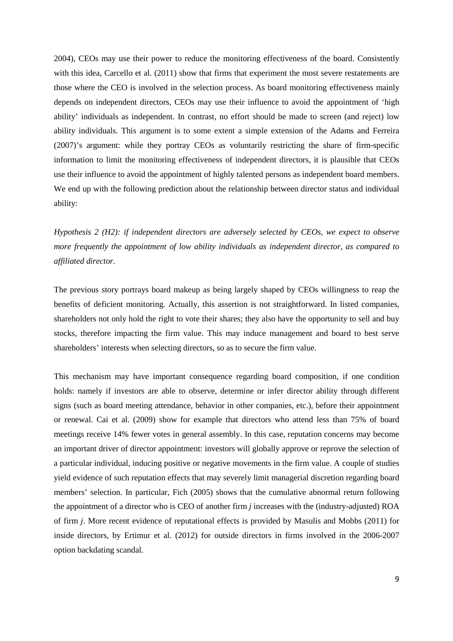2004), CEOs may use their power to reduce the monitoring effectiveness of the board. Consistently with this idea, Carcello et al. (2011) show that firms that experiment the most severe restatements are those where the CEO is involved in the selection process. As board monitoring effectiveness mainly depends on independent directors, CEOs may use their influence to avoid the appointment of 'high ability' individuals as independent. In contrast, no effort should be made to screen (and reject) low ability individuals. This argument is to some extent a simple extension of the Adams and Ferreira (2007)'s argument: while they portray CEOs as voluntarily restricting the share of firm-specific information to limit the monitoring effectiveness of independent directors, it is plausible that CEOs use their influence to avoid the appointment of highly talented persons as independent board members. We end up with the following prediction about the relationship between director status and individual ability:

*Hypothesis 2 (H2): if independent directors are adversely selected by CEOs, we expect to observe more frequently the appointment of low ability individuals as independent director, as compared to affiliated director.* 

The previous story portrays board makeup as being largely shaped by CEOs willingness to reap the benefits of deficient monitoring. Actually, this assertion is not straightforward. In listed companies, shareholders not only hold the right to vote their shares; they also have the opportunity to sell and buy stocks, therefore impacting the firm value. This may induce management and board to best serve shareholders' interests when selecting directors, so as to secure the firm value.

This mechanism may have important consequence regarding board composition, if one condition holds: namely if investors are able to observe, determine or infer director ability through different signs (such as board meeting attendance, behavior in other companies, etc.), before their appointment or renewal. Cai et al. (2009) show for example that directors who attend less than 75% of board meetings receive 14% fewer votes in general assembly. In this case, reputation concerns may become an important driver of director appointment: investors will globally approve or reprove the selection of a particular individual, inducing positive or negative movements in the firm value. A couple of studies yield evidence of such reputation effects that may severely limit managerial discretion regarding board members' selection. In particular, Fich (2005) shows that the cumulative abnormal return following the appointment of a director who is CEO of another firm *j* increases with the (industry-adjusted) ROA of firm *j*. More recent evidence of reputational effects is provided by Masulis and Mobbs (2011) for inside directors, by Ertimur et al. (2012) for outside directors in firms involved in the 2006-2007 option backdating scandal.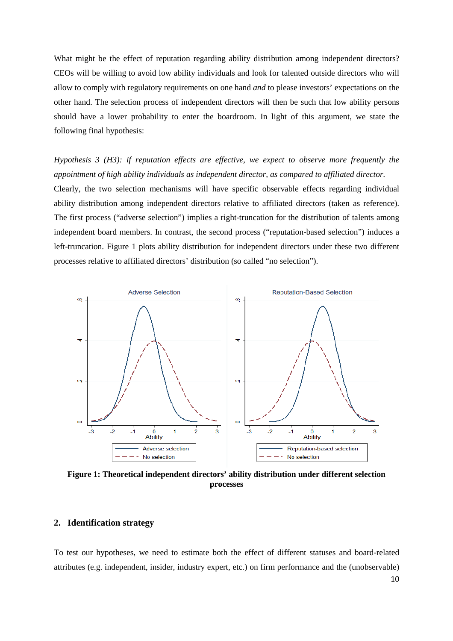What might be the effect of reputation regarding ability distribution among independent directors? CEOs will be willing to avoid low ability individuals and look for talented outside directors who will allow to comply with regulatory requirements on one hand *and* to please investors' expectations on the other hand. The selection process of independent directors will then be such that low ability persons should have a lower probability to enter the boardroom. In light of this argument, we state the following final hypothesis:

*Hypothesis 3 (H3): if reputation effects are effective*, *we expect to observe more frequently the appointment of high ability individuals as independent director, as compared to affiliated director.*  Clearly, the two selection mechanisms will have specific observable effects regarding individual ability distribution among independent directors relative to affiliated directors (taken as reference). The first process ("adverse selection") implies a right-truncation for the distribution of talents among independent board members. In contrast, the second process ("reputation-based selection") induces a left-truncation. Figure 1 plots ability distribution for independent directors under these two different processes relative to affiliated directors' distribution (so called "no selection").



**Figure 1: Theoretical independent directors' ability distribution under different selection processes** 

#### **2. Identification strategy**

To test our hypotheses, we need to estimate both the effect of different statuses and board-related attributes (e.g. independent, insider, industry expert, etc.) on firm performance and the (unobservable)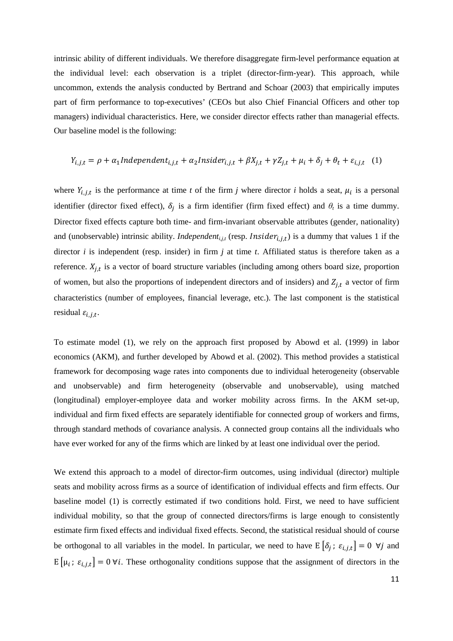intrinsic ability of different individuals. We therefore disaggregate firm-level performance equation at the individual level: each observation is a triplet (director-firm-year). This approach, while uncommon, extends the analysis conducted by Bertrand and Schoar (2003) that empirically imputes part of firm performance to top-executives' (CEOs but also Chief Financial Officers and other top managers) individual characteristics. Here, we consider director effects rather than managerial effects. Our baseline model is the following:

$$
Y_{i,j,t} = \rho + \alpha_1 Independent_{i,j,t} + \alpha_2Inside_{i,j,t} + \beta X_{j,t} + \gamma Z_{j,t} + \mu_i + \delta_j + \theta_t + \varepsilon_{i,j,t} \quad (1)
$$

where  $Y_{i,j,t}$  is the performance at time *t* of the firm *j* where director *i* holds a seat,  $\mu_i$  is a personal identifier (director fixed effect),  $\delta_j$  is a firm identifier (firm fixed effect) and  $\theta_t$  is a time dummy. Director fixed effects capture both time- and firm-invariant observable attributes (gender, nationality) and (unobservable) intrinsic ability. *Independent<sub>i,j,t</sub>* (resp. *Insider<sub>i,j,t</sub>*) is a dummy that values 1 if the director *i* is independent (resp. insider) in firm *j* at time *t*. Affiliated status is therefore taken as a reference.  $X_{i,t}$  is a vector of board structure variables (including among others board size, proportion of women, but also the proportions of independent directors and of insiders) and  $Z_{i,t}$  a vector of firm characteristics (number of employees, financial leverage, etc.). The last component is the statistical residual  $\varepsilon_{i,j,t}$ .

To estimate model (1), we rely on the approach first proposed by Abowd et al. (1999) in labor economics (AKM), and further developed by Abowd et al. (2002). This method provides a statistical framework for decomposing wage rates into components due to individual heterogeneity (observable and unobservable) and firm heterogeneity (observable and unobservable), using matched (longitudinal) employer-employee data and worker mobility across firms. In the AKM set-up, individual and firm fixed effects are separately identifiable for connected group of workers and firms, through standard methods of covariance analysis. A connected group contains all the individuals who have ever worked for any of the firms which are linked by at least one individual over the period.

We extend this approach to a model of director-firm outcomes, using individual (director) multiple seats and mobility across firms as a source of identification of individual effects and firm effects. Our baseline model (1) is correctly estimated if two conditions hold. First, we need to have sufficient individual mobility, so that the group of connected directors/firms is large enough to consistently estimate firm fixed effects and individual fixed effects. Second, the statistical residual should of course be orthogonal to all variables in the model. In particular, we need to have  $E[\delta_j; \varepsilon_{i,j,t}] = 0 \ \forall j$  and  $E[\mu_i; \varepsilon_{i,j,t}] = 0 \forall i$ . These orthogonality conditions suppose that the assignment of directors in the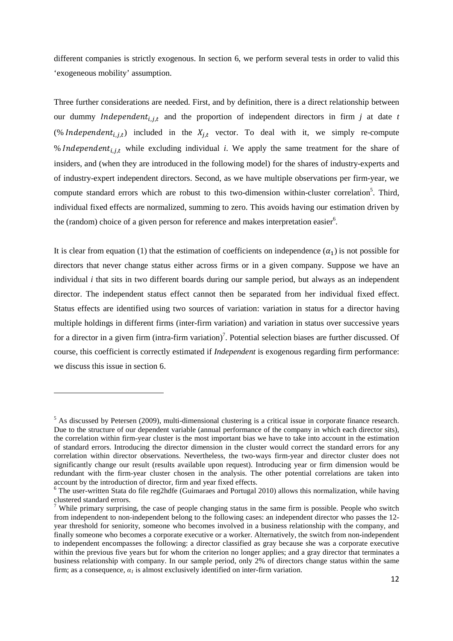different companies is strictly exogenous. In section 6, we perform several tests in order to valid this 'exogeneous mobility' assumption.

Three further considerations are needed. First, and by definition, there is a direct relationship between our dummy *Independent<sub>i, j,t</sub>* and the proportion of independent directors in firm *j* at date *t* (% Independent<sub>i,j,t</sub>) included in the  $X_{j,t}$  vector. To deal with it, we simply re-compute % Independent<sub>i,j,t</sub> while excluding individual *i*. We apply the same treatment for the share of insiders, and (when they are introduced in the following model) for the shares of industry-experts and of industry-expert independent directors. Second, as we have multiple observations per firm-year, we compute standard errors which are robust to this two-dimension within-cluster correlation<sup>5</sup>. Third, individual fixed effects are normalized, summing to zero. This avoids having our estimation driven by the (random) choice of a given person for reference and makes interpretation easier $6$ .

It is clear from equation (1) that the estimation of coefficients on independence  $(\alpha_1)$  is not possible for directors that never change status either across firms or in a given company. Suppose we have an individual *i* that sits in two different boards during our sample period, but always as an independent director. The independent status effect cannot then be separated from her individual fixed effect. Status effects are identified using two sources of variation: variation in status for a director having multiple holdings in different firms (inter-firm variation) and variation in status over successive years for a director in a given firm (intra-firm variation)<sup>7</sup>. Potential selection biases are further discussed. Of course, this coefficient is correctly estimated if *Independent* is exogenous regarding firm performance: we discuss this issue in section 6.

 $<sup>5</sup>$  As discussed by Petersen (2009), multi-dimensional clustering is a critical issue in corporate finance research.</sup> Due to the structure of our dependent variable (annual performance of the company in which each director sits), the correlation within firm-year cluster is the most important bias we have to take into account in the estimation of standard errors. Introducing the director dimension in the cluster would correct the standard errors for any correlation within director observations. Nevertheless, the two-ways firm-year and director cluster does not significantly change our result (results available upon request). Introducing year or firm dimension would be redundant with the firm-year cluster chosen in the analysis. The other potential correlations are taken into account by the introduction of director, firm and year fixed effects.

 $6$  The user-written Stata do file reg2hdfe (Guimaraes and Portugal 2010) allows this normalization, while having clustered standard errors.<br><sup>7</sup> While primary surprising, the case of people changing status in the same firm is possible. People who switch

from independent to non-independent belong to the following cases: an independent director who passes the 12 year threshold for seniority, someone who becomes involved in a business relationship with the company, and finally someone who becomes a corporate executive or a worker. Alternatively, the switch from non-independent to independent encompasses the following: a director classified as gray because she was a corporate executive within the previous five years but for whom the criterion no longer applies; and a gray director that terminates a business relationship with company. In our sample period, only 2% of directors change status within the same firm; as a consequence,  $a_l$  is almost exclusively identified on inter-firm variation.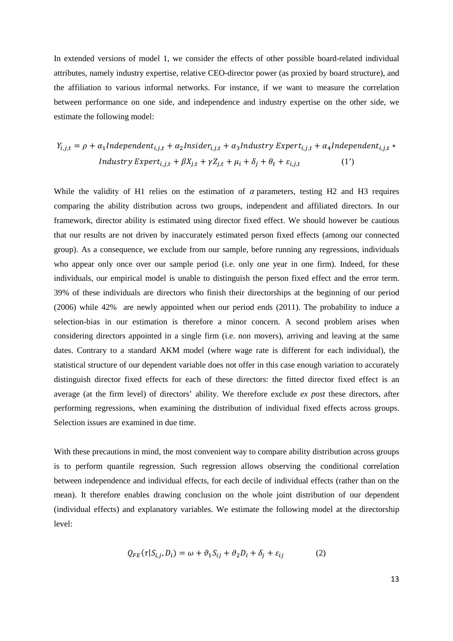In extended versions of model 1, we consider the effects of other possible board-related individual attributes, namely industry expertise, relative CEO-director power (as proxied by board structure), and the affiliation to various informal networks. For instance, if we want to measure the correlation between performance on one side, and independence and industry expertise on the other side, we estimate the following model:

$$
Y_{i,j,t} = \rho + \alpha_1 Independent_{i,j,t} + \alpha_2Inside_{i,j,t} + \alpha_3 Industry Expert_{i,j,t} + \alpha_4 Independent_{i,j,t} *Industry Expert_{i,j,t} + \beta X_{j,t} + \gamma Z_{j,t} + \mu_i + \delta_j + \theta_t + \varepsilon_{i,j,t}
$$
 (1')

While the validity of H1 relies on the estimation of  $\alpha$  parameters, testing H2 and H3 requires comparing the ability distribution across two groups, independent and affiliated directors. In our framework, director ability is estimated using director fixed effect. We should however be cautious that our results are not driven by inaccurately estimated person fixed effects (among our connected group). As a consequence, we exclude from our sample, before running any regressions, individuals who appear only once over our sample period (i.e. only one year in one firm). Indeed, for these individuals, our empirical model is unable to distinguish the person fixed effect and the error term. 39% of these individuals are directors who finish their directorships at the beginning of our period (2006) while 42% are newly appointed when our period ends (2011). The probability to induce a selection-bias in our estimation is therefore a minor concern. A second problem arises when considering directors appointed in a single firm (i.e. non movers), arriving and leaving at the same dates. Contrary to a standard AKM model (where wage rate is different for each individual), the statistical structure of our dependent variable does not offer in this case enough variation to accurately distinguish director fixed effects for each of these directors: the fitted director fixed effect is an average (at the firm level) of directors' ability. We therefore exclude *ex post* these directors, after performing regressions, when examining the distribution of individual fixed effects across groups. Selection issues are examined in due time.

With these precautions in mind, the most convenient way to compare ability distribution across groups is to perform quantile regression. Such regression allows observing the conditional correlation between independence and individual effects, for each decile of individual effects (rather than on the mean). It therefore enables drawing conclusion on the whole joint distribution of our dependent (individual effects) and explanatory variables. We estimate the following model at the directorship level:

$$
Q_{FE}(\tau | S_{i,j}, D_i) = \omega + \vartheta_1 S_{ij} + \vartheta_2 D_i + \delta_j + \varepsilon_{ij}
$$
 (2)

13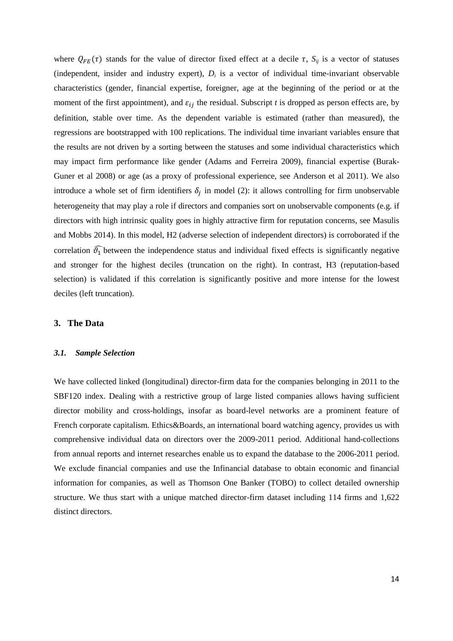where  $Q_{FE}(\tau)$  stands for the value of director fixed effect at a decile  $\tau$ ,  $S_{ij}$  is a vector of statuses (independent, insider and industry expert),  $D_i$  is a vector of individual time-invariant observable characteristics (gender, financial expertise, foreigner, age at the beginning of the period or at the moment of the first appointment), and  $\varepsilon_{ij}$  the residual. Subscript *t* is dropped as person effects are, by definition, stable over time. As the dependent variable is estimated (rather than measured), the regressions are bootstrapped with 100 replications. The individual time invariant variables ensure that the results are not driven by a sorting between the statuses and some individual characteristics which may impact firm performance like gender (Adams and Ferreira 2009), financial expertise (Burak-Guner et al 2008) or age (as a proxy of professional experience, see Anderson et al 2011). We also introduce a whole set of firm identifiers  $\delta_j$  in model (2): it allows controlling for firm unobservable heterogeneity that may play a role if directors and companies sort on unobservable components (e.g. if directors with high intrinsic quality goes in highly attractive firm for reputation concerns, see Masulis and Mobbs 2014). In this model, H2 (adverse selection of independent directors) is corroborated if the correlation  $\widehat{\theta_1}$  between the independence status and individual fixed effects is significantly negative and stronger for the highest deciles (truncation on the right). In contrast, H3 (reputation-based selection) is validated if this correlation is significantly positive and more intense for the lowest deciles (left truncation).

#### **3. The Data**

#### *3.1. Sample Selection*

We have collected linked (longitudinal) director-firm data for the companies belonging in 2011 to the SBF120 index. Dealing with a restrictive group of large listed companies allows having sufficient director mobility and cross-holdings, insofar as board-level networks are a prominent feature of French corporate capitalism. Ethics&Boards, an international board watching agency, provides us with comprehensive individual data on directors over the 2009-2011 period. Additional hand-collections from annual reports and internet researches enable us to expand the database to the 2006-2011 period. We exclude financial companies and use the Infinancial database to obtain economic and financial information for companies, as well as Thomson One Banker (TOBO) to collect detailed ownership structure. We thus start with a unique matched director-firm dataset including 114 firms and 1,622 distinct directors.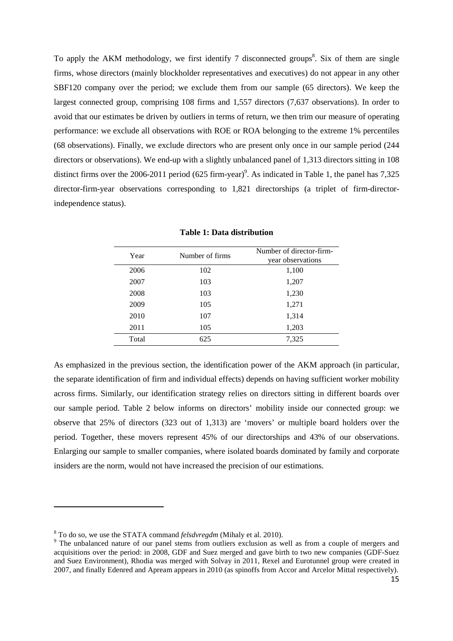To apply the AKM methodology, we first identify 7 disconnected groups<sup>8</sup>. Six of them are single firms, whose directors (mainly blockholder representatives and executives) do not appear in any other SBF120 company over the period; we exclude them from our sample (65 directors). We keep the largest connected group, comprising 108 firms and 1,557 directors (7,637 observations). In order to avoid that our estimates be driven by outliers in terms of return, we then trim our measure of operating performance: we exclude all observations with ROE or ROA belonging to the extreme 1% percentiles (68 observations). Finally, we exclude directors who are present only once in our sample period (244 directors or observations). We end-up with a slightly unbalanced panel of 1,313 directors sitting in 108 distinct firms over the 2006-2011 period (625 firm-year)<sup>9</sup>. As indicated in Table 1, the panel has  $7,325$ director-firm-year observations corresponding to 1,821 directorships (a triplet of firm-directorindependence status).

| Year  | Number of firms | Number of director-firm-<br>year observations |
|-------|-----------------|-----------------------------------------------|
| 2006  | 102             | 1,100                                         |
| 2007  | 103             | 1,207                                         |
| 2008  | 103             | 1,230                                         |
| 2009  | 105             | 1,271                                         |
| 2010  | 107             | 1,314                                         |
| 2011  | 105             | 1,203                                         |
| Total | 625             | 7,325                                         |

**Table 1: Data distribution** 

As emphasized in the previous section, the identification power of the AKM approach (in particular, the separate identification of firm and individual effects) depends on having sufficient worker mobility across firms. Similarly, our identification strategy relies on directors sitting in different boards over our sample period. Table 2 below informs on directors' mobility inside our connected group: we observe that 25% of directors (323 out of 1,313) are 'movers' or multiple board holders over the period. Together, these movers represent 45% of our directorships and 43% of our observations. Enlarging our sample to smaller companies, where isolated boards dominated by family and corporate insiders are the norm, would not have increased the precision of our estimations.

<sup>8</sup> To do so, we use the STATA command *felsdvregdm* (Mihaly et al. 2010).

<sup>&</sup>lt;sup>9</sup> The unbalanced nature of our panel stems from outliers exclusion as well as from a couple of mergers and acquisitions over the period: in 2008, GDF and Suez merged and gave birth to two new companies (GDF-Suez and Suez Environment), Rhodia was merged with Solvay in 2011, Rexel and Eurotunnel group were created in 2007, and finally Edenred and Apream appears in 2010 (as spinoffs from Accor and Arcelor Mittal respectively).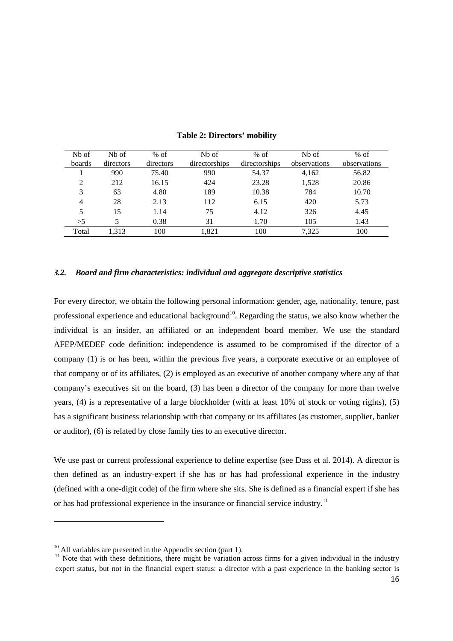| Nb of<br>boards | N <sub>b</sub> of<br>directors | $%$ of<br>directors | Nb of<br>directorships | $%$ of<br>directorships | Nb of<br>observations | $%$ of<br>observations |
|-----------------|--------------------------------|---------------------|------------------------|-------------------------|-----------------------|------------------------|
|                 | 990                            | 75.40               | 990                    | 54.37                   | 4,162                 | 56.82                  |
| 2               | 212                            | 16.15               | 424                    | 23.28                   | 1,528                 | 20.86                  |
| 3               | 63                             | 4.80                | 189                    | 10.38                   | 784                   | 10.70                  |
| $\overline{4}$  | 28                             | 2.13                | 112                    | 6.15                    | 420                   | 5.73                   |
| 5               | 15                             | 1.14                | 75                     | 4.12                    | 326                   | 4.45                   |
| >5              | 5                              | 0.38                | 31                     | 1.70                    | 105                   | 1.43                   |
| Total           | 1,313                          | 100                 | 1,821                  | 100                     | 7,325                 | 100                    |

**Table 2: Directors' mobility** 

#### *3.2. Board and firm characteristics: individual and aggregate descriptive statistics*

For every director, we obtain the following personal information: gender, age, nationality, tenure, past professional experience and educational background<sup>10</sup>. Regarding the status, we also know whether the individual is an insider, an affiliated or an independent board member. We use the standard AFEP/MEDEF code definition: independence is assumed to be compromised if the director of a company (1) is or has been, within the previous five years, a corporate executive or an employee of that company or of its affiliates, (2) is employed as an executive of another company where any of that company's executives sit on the board, (3) has been a director of the company for more than twelve years, (4) is a representative of a large blockholder (with at least 10% of stock or voting rights), (5) has a significant business relationship with that company or its affiliates (as customer, supplier, banker or auditor), (6) is related by close family ties to an executive director.

We use past or current professional experience to define expertise (see Dass et al. 2014). A director is then defined as an industry-expert if she has or has had professional experience in the industry (defined with a one-digit code) of the firm where she sits. She is defined as a financial expert if she has or has had professional experience in the insurance or financial service industry.<sup>11</sup>

 $10$  All variables are presented in the Appendix section (part 1).

 $11$  Note that with these definitions, there might be variation across firms for a given individual in the industry expert status, but not in the financial expert status: a director with a past experience in the banking sector is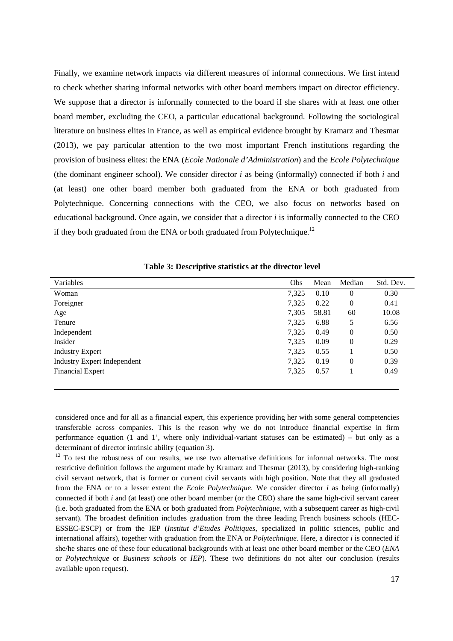Finally, we examine network impacts via different measures of informal connections. We first intend to check whether sharing informal networks with other board members impact on director efficiency. We suppose that a director is informally connected to the board if she shares with at least one other board member, excluding the CEO, a particular educational background. Following the sociological literature on business elites in France, as well as empirical evidence brought by Kramarz and Thesmar (2013), we pay particular attention to the two most important French institutions regarding the provision of business elites: the ENA (*Ecole Nationale d'Administration*) and the *Ecole Polytechnique* (the dominant engineer school). We consider director *i* as being (informally) connected if both *i* and (at least) one other board member both graduated from the ENA or both graduated from Polytechnique. Concerning connections with the CEO, we also focus on networks based on educational background. Once again, we consider that a director *i* is informally connected to the CEO if they both graduated from the ENA or both graduated from Polytechnique.<sup>12</sup>

| Variables                          | Obs   | Mean  | Median           | Std. Dev. |
|------------------------------------|-------|-------|------------------|-----------|
| Woman                              | 7,325 | 0.10  | $\theta$         | 0.30      |
| Foreigner                          | 7,325 | 0.22  | $\boldsymbol{0}$ | 0.41      |
| Age                                | 7,305 | 58.81 | 60               | 10.08     |
| Tenure                             | 7,325 | 6.88  | 5                | 6.56      |
| Independent                        | 7,325 | 0.49  | $\mathbf{0}$     | 0.50      |
| Insider                            | 7,325 | 0.09  | $\boldsymbol{0}$ | 0.29      |
| <b>Industry Expert</b>             | 7,325 | 0.55  |                  | 0.50      |
| <b>Industry Expert Independent</b> | 7,325 | 0.19  | $\overline{0}$   | 0.39      |
| <b>Financial Expert</b>            | 7,325 | 0.57  |                  | 0.49      |
|                                    |       |       |                  |           |

**Table 3: Descriptive statistics at the director level** 

considered once and for all as a financial expert, this experience providing her with some general competencies transferable across companies. This is the reason why we do not introduce financial expertise in firm performance equation (1 and 1', where only individual-variant statuses can be estimated) – but only as a determinant of director intrinsic ability (equation 3).

<u>.</u>

 $12$  To test the robustness of our results, we use two alternative definitions for informal networks. The most restrictive definition follows the argument made by Kramarz and Thesmar (2013), by considering high-ranking civil servant network, that is former or current civil servants with high position. Note that they all graduated from the ENA or to a lesser extent the *Ecole Polytechnique*. We consider director *i* as being (informally) connected if both *i* and (at least) one other board member (or the CEO) share the same high-civil servant career (i.e. both graduated from the ENA or both graduated from *Polytechnique*, with a subsequent career as high-civil servant). The broadest definition includes graduation from the three leading French business schools (HEC-ESSEC-ESCP) or from the IEP (*Institut d'Etudes Politiques*, specialized in politic sciences, public and international affairs), together with graduation from the ENA or *Polytechnique*. Here, a director *i* is connected if she/he shares one of these four educational backgrounds with at least one other board member or the CEO (*ENA*  or *Polytechnique* or *Business schools* or *IEP*). These two definitions do not alter our conclusion (results available upon request).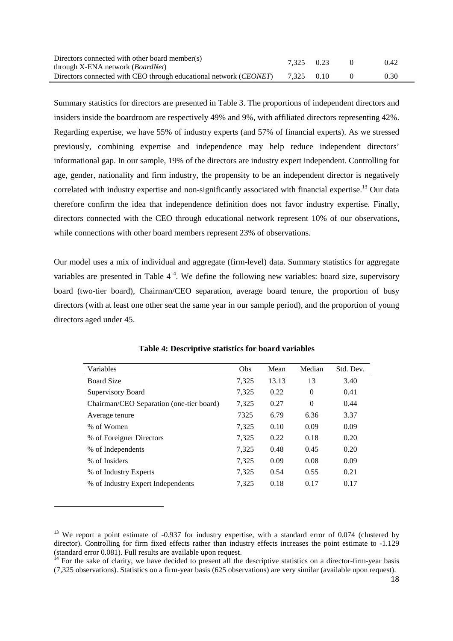| Directors connected with other board member(s)                             | 7.325 0.23 |  | 0.42 |
|----------------------------------------------------------------------------|------------|--|------|
| through X-ENA network ( <i>BoardNet</i> )                                  |            |  |      |
| Directors connected with CEO through educational network ( <i>CEONET</i> ) | 7.325 0.10 |  | 0.30 |

Summary statistics for directors are presented in Table 3. The proportions of independent directors and insiders inside the boardroom are respectively 49% and 9%, with affiliated directors representing 42%. Regarding expertise, we have 55% of industry experts (and 57% of financial experts). As we stressed previously, combining expertise and independence may help reduce independent directors' informational gap. In our sample, 19% of the directors are industry expert independent. Controlling for age, gender, nationality and firm industry, the propensity to be an independent director is negatively correlated with industry expertise and non-significantly associated with financial expertise.<sup>13</sup> Our data therefore confirm the idea that independence definition does not favor industry expertise. Finally, directors connected with the CEO through educational network represent 10% of our observations, while connections with other board members represent 23% of observations.

Our model uses a mix of individual and aggregate (firm-level) data. Summary statistics for aggregate variables are presented in Table  $4^{14}$ . We define the following new variables: board size, supervisory board (two-tier board), Chairman/CEO separation, average board tenure, the proportion of busy directors (with at least one other seat the same year in our sample period), and the proportion of young directors aged under 45.

| Variables                                | Obs   | Mean  | Median   | Std. Dev. |
|------------------------------------------|-------|-------|----------|-----------|
| <b>Board Size</b>                        | 7,325 | 13.13 | 13       | 3.40      |
| Supervisory Board                        | 7,325 | 0.22  | $\Omega$ | 0.41      |
| Chairman/CEO Separation (one-tier board) | 7,325 | 0.27  | $\theta$ | 0.44      |
| Average tenure                           | 7325  | 6.79  | 6.36     | 3.37      |
| % of Women                               | 7,325 | 0.10  | 0.09     | 0.09      |
| % of Foreigner Directors                 | 7,325 | 0.22  | 0.18     | 0.20      |
| % of Independents                        | 7,325 | 0.48  | 0.45     | 0.20      |
| % of Insiders                            | 7,325 | 0.09  | 0.08     | 0.09      |
| % of Industry Experts                    | 7,325 | 0.54  | 0.55     | 0.21      |
| % of Industry Expert Independents        | 7,325 | 0.18  | 0.17     | 0.17      |

**Table 4: Descriptive statistics for board variables**

<sup>&</sup>lt;sup>13</sup> We report a point estimate of -0.937 for industry expertise, with a standard error of 0.074 (clustered by director). Controlling for firm fixed effects rather than industry effects increases the point estimate to -1.129 (standard error 0.081). Full results are available upon request.

 $14$  For the sake of clarity, we have decided to present all the descriptive statistics on a director-firm-year basis (7,325 observations). Statistics on a firm-year basis (625 observations) are very similar (available upon request).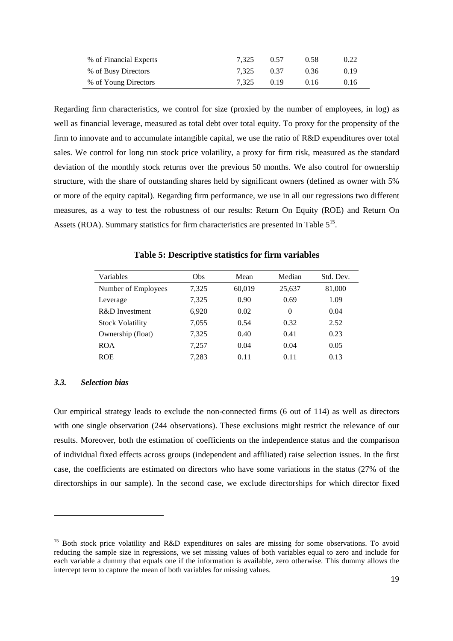| % of Financial Experts | 7.325 | 0.57 | 0.58 | 0.22 |
|------------------------|-------|------|------|------|
| % of Busy Directors    | 7.325 | 0.37 | 0.36 | 0.19 |
| % of Young Directors   | 7.325 | 0.19 | 0.16 | 0.16 |

Regarding firm characteristics, we control for size (proxied by the number of employees, in log) as well as financial leverage, measured as total debt over total equity. To proxy for the propensity of the firm to innovate and to accumulate intangible capital, we use the ratio of R&D expenditures over total sales. We control for long run stock price volatility, a proxy for firm risk, measured as the standard deviation of the monthly stock returns over the previous 50 months. We also control for ownership structure, with the share of outstanding shares held by significant owners (defined as owner with 5% or more of the equity capital). Regarding firm performance, we use in all our regressions two different measures, as a way to test the robustness of our results: Return On Equity (ROE) and Return On Assets (ROA). Summary statistics for firm characteristics are presented in Table  $5^{15}$ .

**Table 5: Descriptive statistics for firm variables** 

| Variables               | Obs   | Mean   | Median   | Std. Dev. |
|-------------------------|-------|--------|----------|-----------|
| Number of Employees     | 7.325 | 60,019 | 25,637   | 81,000    |
| Leverage                | 7.325 | 0.90   | 0.69     | 1.09      |
| R&D Investment          | 6,920 | 0.02   | $\theta$ | 0.04      |
| <b>Stock Volatility</b> | 7,055 | 0.54   | 0.32     | 2.52      |
| Ownership (float)       | 7,325 | 0.40   | 0.41     | 0.23      |
| <b>ROA</b>              | 7.257 | 0.04   | 0.04     | 0.05      |
| <b>ROE</b>              | 7.283 | 0.11   | 0.11     | 0.13      |

#### *3.3. Selection bias*

 $\overline{a}$ 

Our empirical strategy leads to exclude the non-connected firms (6 out of 114) as well as directors with one single observation (244 observations). These exclusions might restrict the relevance of our results. Moreover, both the estimation of coefficients on the independence status and the comparison of individual fixed effects across groups (independent and affiliated) raise selection issues. In the first case, the coefficients are estimated on directors who have some variations in the status (27% of the directorships in our sample). In the second case, we exclude directorships for which director fixed

<sup>&</sup>lt;sup>15</sup> Both stock price volatility and R&D expenditures on sales are missing for some observations. To avoid reducing the sample size in regressions, we set missing values of both variables equal to zero and include for each variable a dummy that equals one if the information is available, zero otherwise. This dummy allows the intercept term to capture the mean of both variables for missing values.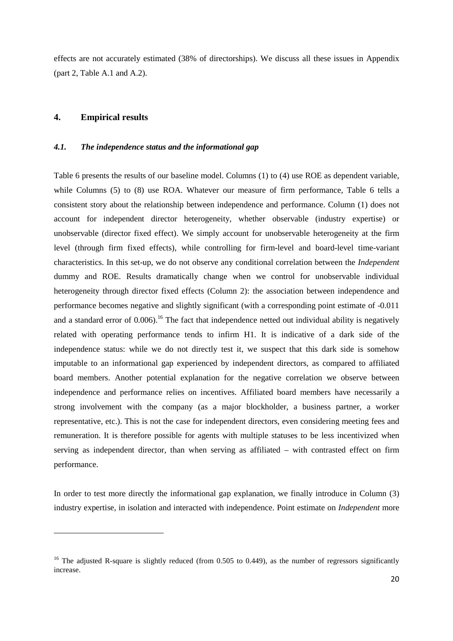effects are not accurately estimated (38% of directorships). We discuss all these issues in Appendix (part 2, Table A.1 and A.2).

#### **4. Empirical results**

#### *4.1. The independence status and the informational gap*

Table 6 presents the results of our baseline model. Columns (1) to (4) use ROE as dependent variable, while Columns (5) to (8) use ROA. Whatever our measure of firm performance, Table 6 tells a consistent story about the relationship between independence and performance. Column (1) does not account for independent director heterogeneity, whether observable (industry expertise) or unobservable (director fixed effect). We simply account for unobservable heterogeneity at the firm level (through firm fixed effects), while controlling for firm-level and board-level time-variant characteristics. In this set-up, we do not observe any conditional correlation between the *Independent* dummy and ROE. Results dramatically change when we control for unobservable individual heterogeneity through director fixed effects (Column 2): the association between independence and performance becomes negative and slightly significant (with a corresponding point estimate of -0.011 and a standard error of  $0.006$ .<sup>16</sup> The fact that independence netted out individual ability is negatively related with operating performance tends to infirm H1. It is indicative of a dark side of the independence status: while we do not directly test it, we suspect that this dark side is somehow imputable to an informational gap experienced by independent directors, as compared to affiliated board members. Another potential explanation for the negative correlation we observe between independence and performance relies on incentives. Affiliated board members have necessarily a strong involvement with the company (as a major blockholder, a business partner, a worker representative, etc.). This is not the case for independent directors, even considering meeting fees and remuneration. It is therefore possible for agents with multiple statuses to be less incentivized when serving as independent director, than when serving as affiliated – with contrasted effect on firm performance.

In order to test more directly the informational gap explanation, we finally introduce in Column (3) industry expertise, in isolation and interacted with independence. Point estimate on *Independent* more

<sup>&</sup>lt;sup>16</sup> The adjusted R-square is slightly reduced (from 0.505 to 0.449), as the number of regressors significantly increase.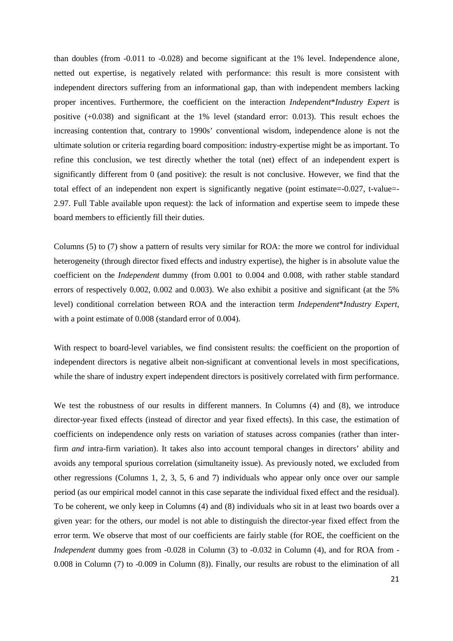than doubles (from -0.011 to -0.028) and become significant at the 1% level. Independence alone, netted out expertise, is negatively related with performance: this result is more consistent with independent directors suffering from an informational gap, than with independent members lacking proper incentives. Furthermore, the coefficient on the interaction *Independent*\**Industry Expert* is positive (+0.038) and significant at the 1% level (standard error: 0.013). This result echoes the increasing contention that, contrary to 1990s' conventional wisdom, independence alone is not the ultimate solution or criteria regarding board composition: industry-expertise might be as important. To refine this conclusion, we test directly whether the total (net) effect of an independent expert is significantly different from 0 (and positive): the result is not conclusive. However, we find that the total effect of an independent non expert is significantly negative (point estimate=-0.027, t-value=- 2.97. Full Table available upon request): the lack of information and expertise seem to impede these board members to efficiently fill their duties.

Columns (5) to (7) show a pattern of results very similar for ROA: the more we control for individual heterogeneity (through director fixed effects and industry expertise), the higher is in absolute value the coefficient on the *Independent* dummy (from 0.001 to 0.004 and 0.008, with rather stable standard errors of respectively 0.002, 0.002 and 0.003). We also exhibit a positive and significant (at the 5% level) conditional correlation between ROA and the interaction term *Independent*\**Industry Expert*, with a point estimate of 0.008 (standard error of 0.004).

With respect to board-level variables, we find consistent results: the coefficient on the proportion of independent directors is negative albeit non-significant at conventional levels in most specifications, while the share of industry expert independent directors is positively correlated with firm performance.

We test the robustness of our results in different manners. In Columns (4) and (8), we introduce director-year fixed effects (instead of director and year fixed effects). In this case, the estimation of coefficients on independence only rests on variation of statuses across companies (rather than interfirm *and* intra-firm variation). It takes also into account temporal changes in directors' ability and avoids any temporal spurious correlation (simultaneity issue). As previously noted, we excluded from other regressions (Columns 1, 2, 3, 5, 6 and 7) individuals who appear only once over our sample period (as our empirical model cannot in this case separate the individual fixed effect and the residual). To be coherent, we only keep in Columns (4) and (8) individuals who sit in at least two boards over a given year: for the others, our model is not able to distinguish the director-year fixed effect from the error term. We observe that most of our coefficients are fairly stable (for ROE, the coefficient on the *Independent* dummy goes from -0.028 in Column (3) to -0.032 in Column (4), and for ROA from -0.008 in Column (7) to -0.009 in Column (8)). Finally, our results are robust to the elimination of all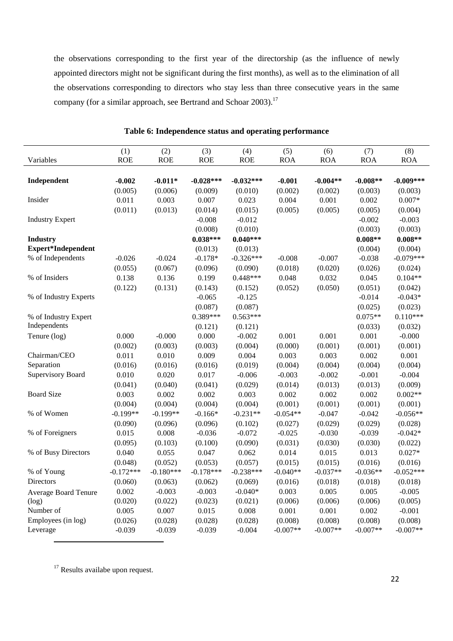the observations corresponding to the first year of the directorship (as the influence of newly appointed directors might not be significant during the first months), as well as to the elimination of all the observations corresponding to directors who stay less than three consecutive years in the same company (for a similar approach, see Bertrand and Schoar 2003).<sup>17</sup>

|                             | (1)         | (2)         | (3)         | (4)         | (5)        | (6)        | (7)        | (8)         |
|-----------------------------|-------------|-------------|-------------|-------------|------------|------------|------------|-------------|
| Variables                   | <b>ROE</b>  | <b>ROE</b>  | <b>ROE</b>  | <b>ROE</b>  | <b>ROA</b> | <b>ROA</b> | <b>ROA</b> | <b>ROA</b>  |
|                             |             |             |             |             |            |            |            |             |
| Independent                 | $-0.002$    | $-0.011*$   | $-0.028***$ | $-0.032***$ | $-0.001$   | $-0.004**$ | $-0.008**$ | $-0.009***$ |
|                             | (0.005)     | (0.006)     | (0.009)     | (0.010)     | (0.002)    | (0.002)    | (0.003)    | (0.003)     |
| Insider                     | 0.011       | 0.003       | 0.007       | 0.023       | 0.004      | 0.001      | 0.002      | $0.007*$    |
|                             | (0.011)     | (0.013)     | (0.014)     | (0.015)     | (0.005)    | (0.005)    | (0.005)    | (0.004)     |
| <b>Industry Expert</b>      |             |             | $-0.008$    | $-0.012$    |            |            | $-0.002$   | $-0.003$    |
|                             |             |             | (0.008)     | (0.010)     |            |            | (0.003)    | (0.003)     |
| <b>Industry</b>             |             |             | $0.038***$  | $0.040***$  |            |            | $0.008**$  | $0.008**$   |
| <b>Expert*Independent</b>   |             |             | (0.013)     | (0.013)     |            |            | (0.004)    | (0.004)     |
| % of Independents           | $-0.026$    | $-0.024$    | $-0.178*$   | $-0.326***$ | $-0.008$   | $-0.007$   | $-0.038$   | $-0.079***$ |
|                             | (0.055)     | (0.067)     | (0.096)     | (0.090)     | (0.018)    | (0.020)    | (0.026)    | (0.024)     |
| % of Insiders               | 0.138       | 0.136       | 0.199       | $0.448***$  | 0.048      | 0.032      | 0.045      | $0.104**$   |
|                             | (0.122)     | (0.131)     | (0.143)     | (0.152)     | (0.052)    | (0.050)    | (0.051)    | (0.042)     |
| % of Industry Experts       |             |             | $-0.065$    | $-0.125$    |            |            | $-0.014$   | $-0.043*$   |
|                             |             |             | (0.087)     | (0.087)     |            |            | (0.025)    | (0.023)     |
| % of Industry Expert        |             |             | $0.389***$  | $0.563***$  |            |            | $0.075**$  | $0.110***$  |
| Independents                |             |             | (0.121)     | (0.121)     |            |            | (0.033)    | (0.032)     |
| Tenure (log)                | 0.000       | $-0.000$    | 0.000       | $-0.002$    | 0.001      | 0.001      | 0.001      | $-0.000$    |
|                             | (0.002)     | (0.003)     | (0.003)     | (0.004)     | (0.000)    | (0.001)    | (0.001)    | (0.001)     |
| Chairman/CEO                | 0.011       | 0.010       | 0.009       | 0.004       | 0.003      | 0.003      | 0.002      | 0.001       |
| Separation                  | (0.016)     | (0.016)     | (0.016)     | (0.019)     | (0.004)    | (0.004)    | (0.004)    | (0.004)     |
| <b>Supervisory Board</b>    | 0.010       | 0.020       | 0.017       | $-0.006$    | $-0.003$   | $-0.002$   | $-0.001$   | $-0.004$    |
|                             | (0.041)     | (0.040)     | (0.041)     | (0.029)     | (0.014)    | (0.013)    | (0.013)    | (0.009)     |
| <b>Board Size</b>           | 0.003       | 0.002       | 0.002       | 0.003       | 0.002      | 0.002      | 0.002      | $0.002**$   |
|                             | (0.004)     | (0.004)     | (0.004)     | (0.004)     | (0.001)    | (0.001)    | (0.001)    | (0.001)     |
| % of Women                  | $-0.199**$  | $-0.199**$  | $-0.166*$   | $-0.231**$  | $-0.054**$ | $-0.047$   | $-0.042$   | $-0.056**$  |
|                             | (0.090)     | (0.096)     | (0.096)     | (0.102)     | (0.027)    | (0.029)    | (0.029)    | (0.028)     |
| % of Foreigners             | 0.015       | 0.008       | $-0.036$    | $-0.072$    | $-0.025$   | $-0.030$   | $-0.039$   | $-0.042*$   |
|                             | (0.095)     | (0.103)     | (0.100)     | (0.090)     | (0.031)    | (0.030)    | (0.030)    | (0.022)     |
| % of Busy Directors         | 0.040       | 0.055       | 0.047       | 0.062       | 0.014      | 0.015      | 0.013      | $0.027*$    |
|                             | (0.048)     | (0.052)     | (0.053)     | (0.057)     | (0.015)    | (0.015)    | (0.016)    | (0.016)     |
| % of Young                  | $-0.172***$ | $-0.180***$ | $-0.178***$ | $-0.238***$ | $-0.040**$ | $-0.037**$ | $-0.036**$ | $-0.052***$ |
| Directors                   | (0.060)     | (0.063)     | (0.062)     | (0.069)     | (0.016)    | (0.018)    | (0.018)    | (0.018)     |
| <b>Average Board Tenure</b> | 0.002       | $-0.003$    | $-0.003$    | $-0.040*$   | 0.003      | 0.005      | 0.005      | $-0.005$    |
| (log)                       | (0.020)     | (0.022)     | (0.023)     | (0.021)     | (0.006)    | (0.006)    | (0.006)    | (0.005)     |
| Number of                   | 0.005       | 0.007       | 0.015       | 0.008       | 0.001      | 0.001      | 0.002      | $-0.001$    |
| Employees (in log)          | (0.026)     | (0.028)     | (0.028)     | (0.028)     | (0.008)    | (0.008)    | (0.008)    | (0.008)     |
| Leverage                    | $-0.039$    | $-0.039$    | $-0.039$    | $-0.004$    | $-0.007**$ | $-0.007**$ | $-0.007**$ | $-0.007**$  |
|                             |             |             |             |             |            |            |            |             |

### **Table 6: Independence status and operating performance**

<sup>17</sup> Results availabe upon request.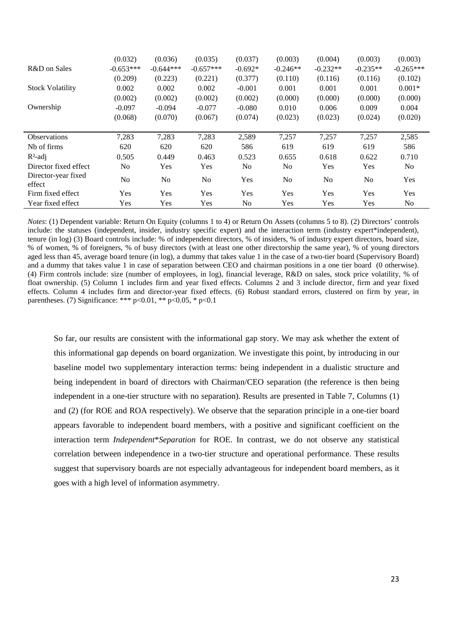|                               | (0.032)        | (0.036)        | (0.035)        | (0.037)        | (0.003)        | (0.004)    | (0.003)        | (0.003)        |
|-------------------------------|----------------|----------------|----------------|----------------|----------------|------------|----------------|----------------|
| R&D on Sales                  | $-0.653***$    | $-0.644***$    | $-0.657***$    | $-0.692*$      | $-0.246**$     | $-0.232**$ | $-0.235**$     | $-0.265***$    |
|                               | (0.209)        | (0.223)        | (0.221)        | (0.377)        | (0.110)        | (0.116)    | (0.116)        | (0.102)        |
| <b>Stock Volatility</b>       | 0.002          | 0.002          | 0.002          | $-0.001$       | 0.001          | 0.001      | 0.001          | $0.001*$       |
|                               | (0.002)        | (0.002)        | (0.002)        | (0.002)        | (0.000)        | (0.000)    | (0.000)        | (0.000)        |
| Ownership                     | $-0.097$       | $-0.094$       | $-0.077$       | $-0.080$       | 0.010          | 0.006      | 0.009          | 0.004          |
|                               | (0.068)        | (0.070)        | (0.067)        | (0.074)        | (0.023)        | (0.023)    | (0.024)        | (0.020)        |
|                               |                |                |                |                |                |            |                |                |
| <b>Observations</b>           | 7,283          | 7,283          | 7,283          | 2,589          | 7,257          | 7,257      | 7,257          | 2,585          |
| Nb of firms                   | 620            | 620            | 620            | 586            | 619            | 619        | 619            | 586            |
| $R^2$ -adj                    | 0.505          | 0.449          | 0.463          | 0.523          | 0.655          | 0.618      | 0.622          | 0.710          |
| Director fixed effect         | N <sub>0</sub> | Yes            | Yes            | No.            | N <sub>0</sub> | Yes        | Yes            | No             |
| Director-year fixed<br>effect | N <sub>0</sub> | N <sub>o</sub> | N <sub>o</sub> | Yes            | N <sub>o</sub> | No         | N <sub>0</sub> | Yes            |
| Firm fixed effect             | Yes            | Yes            | Yes            | Yes            | Yes            | Yes        | Yes            | Yes            |
| Year fixed effect             | Yes            | Yes            | Yes            | N <sub>0</sub> | Yes            | Yes        | Yes            | N <sub>0</sub> |

*Notes*: (1) Dependent variable: Return On Equity (columns 1 to 4) or Return On Assets (columns 5 to 8). (2) Directors' controls include: the statuses (independent, insider, industry specific expert) and the interaction term (industry expert\*independent), tenure (in log) (3) Board controls include: % of independent directors, % of insiders, % of industry expert directors, board size, % of women, % of foreigners, % of busy directors (with at least one other directorship the same year), % of young directors aged less than 45, average board tenure (in log), a dummy that takes value 1 in the case of a two-tier board (Supervisory Board) and a dummy that takes value 1 in case of separation between CEO and chairman positions in a one tier board (0 otherwise). (4) Firm controls include: size (number of employees, in log), financial leverage, R&D on sales, stock price volatility, % of float ownership. (5) Column 1 includes firm and year fixed effects. Columns 2 and 3 include director, firm and year fixed effects. Column 4 includes firm and director-year fixed effects. (6) Robust standard errors, clustered on firm by year, in parentheses. (7) Significance: \*\*\*  $p<0.01$ , \*\*  $p<0.05$ , \*  $p<0.1$ 

So far, our results are consistent with the informational gap story. We may ask whether the extent of this informational gap depends on board organization. We investigate this point, by introducing in our baseline model two supplementary interaction terms: being independent in a dualistic structure and being independent in board of directors with Chairman/CEO separation (the reference is then being independent in a one-tier structure with no separation). Results are presented in Table 7, Columns (1) and (2) (for ROE and ROA respectively). We observe that the separation principle in a one-tier board appears favorable to independent board members, with a positive and significant coefficient on the interaction term *Independent*\**Separation* for ROE. In contrast, we do not observe any statistical correlation between independence in a two-tier structure and operational performance. These results suggest that supervisory boards are not especially advantageous for independent board members, as it goes with a high level of information asymmetry.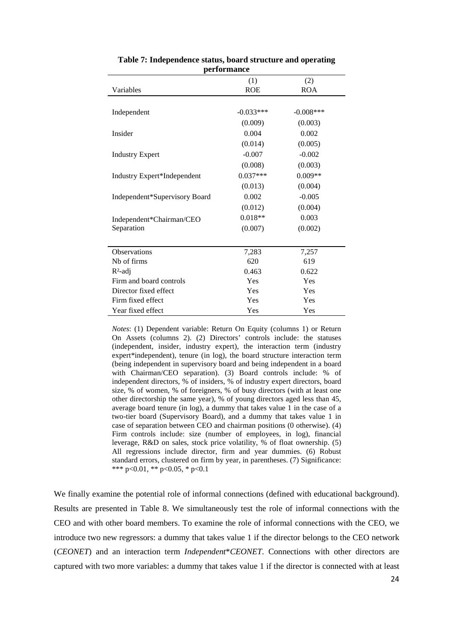|                               | (1)         | (2)          |
|-------------------------------|-------------|--------------|
| Variables                     | <b>ROE</b>  | <b>ROA</b>   |
|                               |             |              |
| Independent                   | $-0.033***$ | $-0.008$ *** |
|                               | (0.009)     | (0.003)      |
| Insider                       | 0.004       | 0.002        |
|                               | (0.014)     | (0.005)      |
| <b>Industry Expert</b>        | $-0.007$    | $-0.002$     |
|                               | (0.008)     | (0.003)      |
| Industry Expert*Independent   | $0.037***$  | $0.009**$    |
|                               | (0.013)     | (0.004)      |
| Independent*Supervisory Board | 0.002       | $-0.005$     |
|                               | (0.012)     | (0.004)      |
| Independent*Chairman/CEO      | $0.018**$   | 0.003        |
| Separation                    | (0.007)     | (0.002)      |
|                               |             |              |
| <b>Observations</b>           | 7,283       | 7,257        |
| N <sub>b</sub> of firms       | 620         | 619          |
| $R2$ -adj                     | 0.463       | 0.622        |
| Firm and board controls       | Yes         | Yes          |
| Director fixed effect         | Yes         | Yes          |
| Firm fixed effect             | Yes         | Yes          |
| Year fixed effect             | Yes         | Yes          |

| Table 7: Independence status, board structure and operating |                    |  |  |
|-------------------------------------------------------------|--------------------|--|--|
|                                                             | <b>performance</b> |  |  |

*Notes*: (1) Dependent variable: Return On Equity (columns 1) or Return On Assets (columns 2). (2) Directors' controls include: the statuses (independent, insider, industry expert), the interaction term (industry expert\*independent), tenure (in log), the board structure interaction term (being independent in supervisory board and being independent in a board with Chairman/CEO separation). (3) Board controls include: % of independent directors, % of insiders, % of industry expert directors, board size, % of women, % of foreigners, % of busy directors (with at least one other directorship the same year), % of young directors aged less than 45, average board tenure (in log), a dummy that takes value 1 in the case of a two-tier board (Supervisory Board), and a dummy that takes value 1 in case of separation between CEO and chairman positions (0 otherwise). (4) Firm controls include: size (number of employees, in log), financial leverage, R&D on sales, stock price volatility, % of float ownership. (5) All regressions include director, firm and year dummies. (6) Robust standard errors, clustered on firm by year, in parentheses. (7) Significance: \*\*\* p<0.01, \*\* p<0.05, \* p<0.1

We finally examine the potential role of informal connections (defined with educational background). Results are presented in Table 8. We simultaneously test the role of informal connections with the CEO and with other board members. To examine the role of informal connections with the CEO, we introduce two new regressors: a dummy that takes value 1 if the director belongs to the CEO network (*CEONET*) and an interaction term *Independent*\**CEONET*. Connections with other directors are captured with two more variables: a dummy that takes value 1 if the director is connected with at least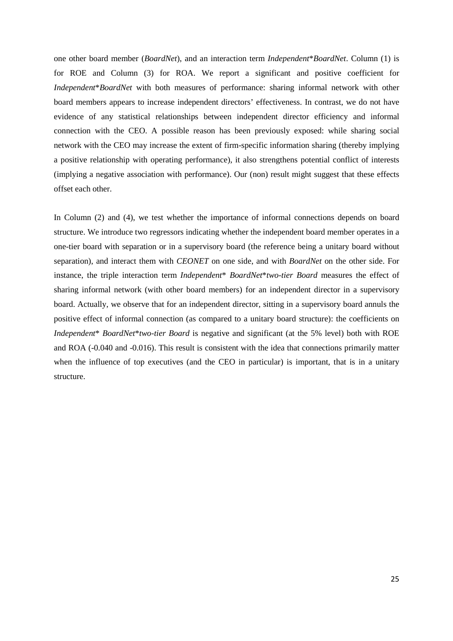one other board member (*BoardNet*), and an interaction term *Independent*\**BoardNet*. Column (1) is for ROE and Column (3) for ROA. We report a significant and positive coefficient for *Independent*\**BoardNet* with both measures of performance: sharing informal network with other board members appears to increase independent directors' effectiveness. In contrast, we do not have evidence of any statistical relationships between independent director efficiency and informal connection with the CEO. A possible reason has been previously exposed: while sharing social network with the CEO may increase the extent of firm-specific information sharing (thereby implying a positive relationship with operating performance), it also strengthens potential conflict of interests (implying a negative association with performance). Our (non) result might suggest that these effects offset each other.

In Column (2) and (4), we test whether the importance of informal connections depends on board structure. We introduce two regressors indicating whether the independent board member operates in a one-tier board with separation or in a supervisory board (the reference being a unitary board without separation), and interact them with *CEONET* on one side, and with *BoardNet* on the other side. For instance, the triple interaction term *Independent*\* *BoardNet*\**two-tier Board* measures the effect of sharing informal network (with other board members) for an independent director in a supervisory board. Actually, we observe that for an independent director, sitting in a supervisory board annuls the positive effect of informal connection (as compared to a unitary board structure): the coefficients on *Independent*\* *BoardNet*\**two-tier Board* is negative and significant (at the 5% level) both with ROE and ROA (-0.040 and -0.016). This result is consistent with the idea that connections primarily matter when the influence of top executives (and the CEO in particular) is important, that is in a unitary structure.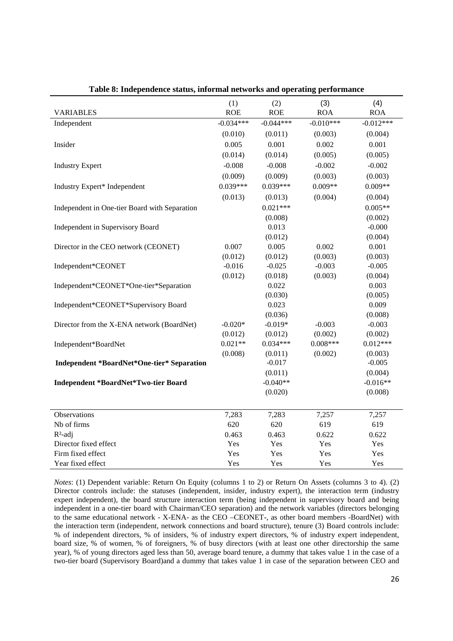|                                                   | (1)         | (2)         | (3)         | (4)         |
|---------------------------------------------------|-------------|-------------|-------------|-------------|
| <b>VARIABLES</b>                                  | <b>ROE</b>  | <b>ROE</b>  | <b>ROA</b>  | <b>ROA</b>  |
| Independent                                       | $-0.034***$ | $-0.044***$ | $-0.010***$ | $-0.012***$ |
|                                                   | (0.010)     | (0.011)     | (0.003)     | (0.004)     |
| Insider                                           | 0.005       | 0.001       | 0.002       | 0.001       |
|                                                   | (0.014)     | (0.014)     | (0.005)     | (0.005)     |
| <b>Industry Expert</b>                            | $-0.008$    | $-0.008$    | $-0.002$    | $-0.002$    |
|                                                   | (0.009)     | (0.009)     | (0.003)     | (0.003)     |
| Industry Expert* Independent                      | $0.039***$  | $0.039***$  | $0.009**$   | $0.009**$   |
|                                                   | (0.013)     | (0.013)     | (0.004)     | (0.004)     |
| Independent in One-tier Board with Separation     |             | $0.021***$  |             | $0.005**$   |
|                                                   |             | (0.008)     |             | (0.002)     |
| Independent in Supervisory Board                  |             | 0.013       |             | $-0.000$    |
|                                                   |             | (0.012)     |             | (0.004)     |
| Director in the CEO network (CEONET)              | 0.007       | 0.005       | 0.002       | 0.001       |
|                                                   | (0.012)     | (0.012)     | (0.003)     | (0.003)     |
| Independent*CEONET                                | $-0.016$    | $-0.025$    | $-0.003$    | $-0.005$    |
|                                                   | (0.012)     | (0.018)     | (0.003)     | (0.004)     |
| Independent*CEONET*One-tier*Separation            |             | 0.022       |             | 0.003       |
|                                                   |             | (0.030)     |             | (0.005)     |
| Independent*CEONET*Supervisory Board              |             | 0.023       |             | 0.009       |
|                                                   |             | (0.036)     |             | (0.008)     |
| Director from the X-ENA network (BoardNet)        | $-0.020*$   | $-0.019*$   | $-0.003$    | $-0.003$    |
|                                                   | (0.012)     | (0.012)     | (0.002)     | (0.002)     |
| Independent*BoardNet                              | $0.021**$   | $0.034***$  | $0.008***$  | $0.012***$  |
|                                                   | (0.008)     | (0.011)     | (0.002)     | (0.003)     |
| <b>Independent *BoardNet*One-tier* Separation</b> |             | $-0.017$    |             | $-0.005$    |
|                                                   |             | (0.011)     |             | (0.004)     |
| <b>Independent *BoardNet*Two-tier Board</b>       |             | $-0.040**$  |             | $-0.016**$  |
|                                                   |             | (0.020)     |             | (0.008)     |
|                                                   |             |             |             |             |
| Observations                                      | 7,283       | 7,283       | 7,257       | 7,257       |
| Nb of firms                                       | 620         | 620         | 619         | 619         |
| $R^2$ -adj                                        | 0.463       | 0.463       | 0.622       | 0.622       |
| Director fixed effect                             | Yes         | Yes         | Yes         | Yes         |
| Firm fixed effect                                 | Yes         | Yes         | Yes         | Yes         |
| Year fixed effect                                 | Yes         | Yes         | Yes         | Yes         |

**Table 8: Independence status, informal networks and operating performance** 

*Notes*: (1) Dependent variable: Return On Equity (columns 1 to 2) or Return On Assets (columns 3 to 4). (2) Director controls include: the statuses (independent, insider, industry expert), the interaction term (industry expert independent), the board structure interaction term (being independent in supervisory board and being independent in a one-tier board with Chairman/CEO separation) and the network variables (directors belonging to the same educational network - X-ENA- as the CEO –CEONET-, as other board members -BoardNet) with the interaction term (independent, network connections and board structure), tenure (3) Board controls include: % of independent directors, % of insiders, % of industry expert directors, % of industry expert independent, board size, % of women, % of foreigners, % of busy directors (with at least one other directorship the same year), % of young directors aged less than 50, average board tenure, a dummy that takes value 1 in the case of a two-tier board (Supervisory Board)and a dummy that takes value 1 in case of the separation between CEO and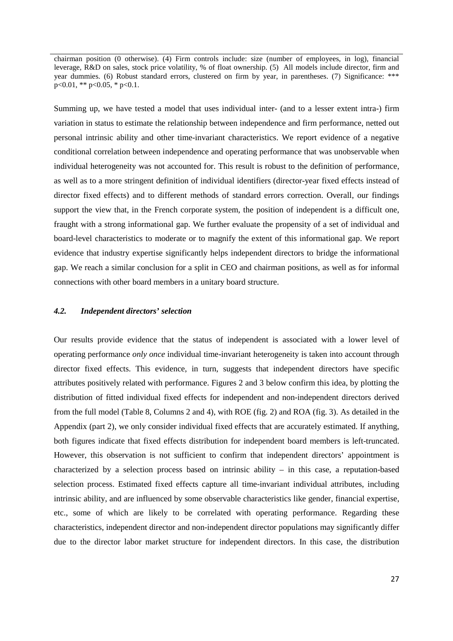chairman position (0 otherwise). (4) Firm controls include: size (number of employees, in log), financial leverage, R&D on sales, stock price volatility, % of float ownership. (5) All models include director, firm and year dummies. (6) Robust standard errors, clustered on firm by year, in parentheses. (7) Significance: \*\*\* p<0.01, \*\* p<0.05, \* p<0.1.

Summing up, we have tested a model that uses individual inter- (and to a lesser extent intra-) firm variation in status to estimate the relationship between independence and firm performance, netted out personal intrinsic ability and other time-invariant characteristics. We report evidence of a negative conditional correlation between independence and operating performance that was unobservable when individual heterogeneity was not accounted for. This result is robust to the definition of performance, as well as to a more stringent definition of individual identifiers (director-year fixed effects instead of director fixed effects) and to different methods of standard errors correction. Overall, our findings support the view that, in the French corporate system, the position of independent is a difficult one, fraught with a strong informational gap. We further evaluate the propensity of a set of individual and board-level characteristics to moderate or to magnify the extent of this informational gap. We report evidence that industry expertise significantly helps independent directors to bridge the informational gap. We reach a similar conclusion for a split in CEO and chairman positions, as well as for informal connections with other board members in a unitary board structure.

#### *4.2. Independent directors' selection*

Our results provide evidence that the status of independent is associated with a lower level of operating performance *only once* individual time-invariant heterogeneity is taken into account through director fixed effects. This evidence, in turn, suggests that independent directors have specific attributes positively related with performance. Figures 2 and 3 below confirm this idea, by plotting the distribution of fitted individual fixed effects for independent and non-independent directors derived from the full model (Table 8, Columns 2 and 4), with ROE (fig. 2) and ROA (fig. 3). As detailed in the Appendix (part 2), we only consider individual fixed effects that are accurately estimated. If anything, both figures indicate that fixed effects distribution for independent board members is left-truncated. However, this observation is not sufficient to confirm that independent directors' appointment is characterized by a selection process based on intrinsic ability – in this case, a reputation-based selection process. Estimated fixed effects capture all time-invariant individual attributes, including intrinsic ability, and are influenced by some observable characteristics like gender, financial expertise, etc., some of which are likely to be correlated with operating performance. Regarding these characteristics, independent director and non-independent director populations may significantly differ due to the director labor market structure for independent directors. In this case, the distribution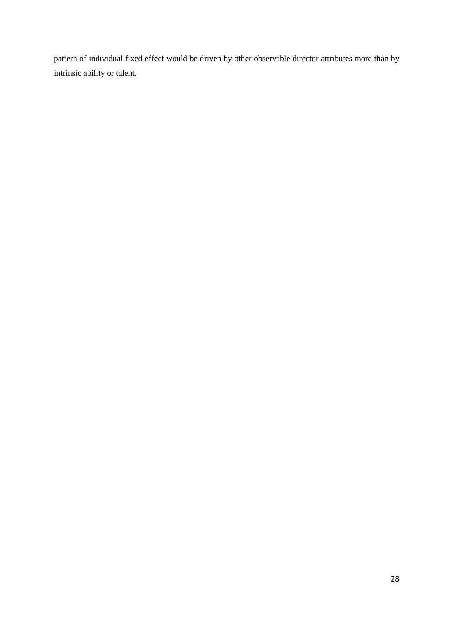pattern of individual fixed effect would be driven by other observable director attributes more than by intrinsic ability or talent.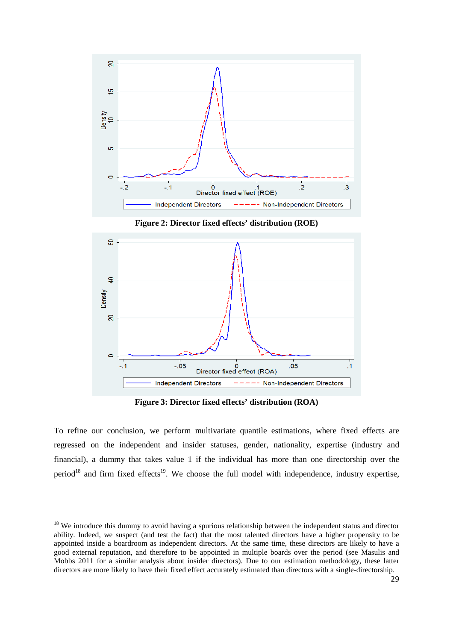

**Figure 2: Director fixed effects' distribution (ROE)** 



**Figure 3: Director fixed effects' distribution (ROA)** 

To refine our conclusion, we perform multivariate quantile estimations, where fixed effects are regressed on the independent and insider statuses, gender, nationality, expertise (industry and financial), a dummy that takes value 1 if the individual has more than one directorship over the period<sup>18</sup> and firm fixed effects<sup>19</sup>. We choose the full model with independence, industry expertise,

<sup>&</sup>lt;sup>18</sup> We introduce this dummy to avoid having a spurious relationship between the independent status and director ability. Indeed, we suspect (and test the fact) that the most talented directors have a higher propensity to be appointed inside a boardroom as independent directors. At the same time, these directors are likely to have a good external reputation, and therefore to be appointed in multiple boards over the period (see Masulis and Mobbs 2011 for a similar analysis about insider directors). Due to our estimation methodology, these latter directors are more likely to have their fixed effect accurately estimated than directors with a single-directorship.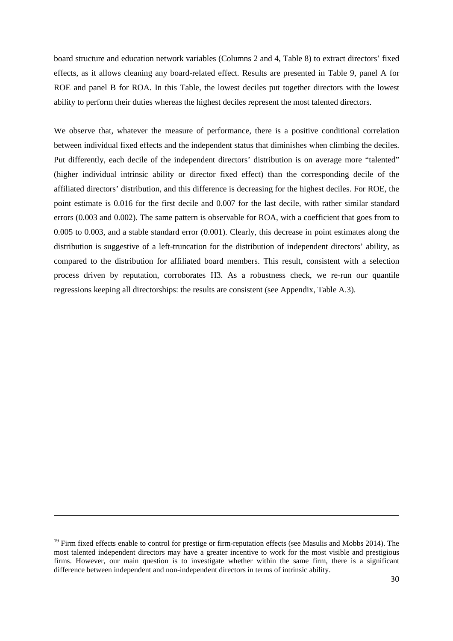board structure and education network variables (Columns 2 and 4, Table 8) to extract directors' fixed effects, as it allows cleaning any board-related effect. Results are presented in Table 9, panel A for ROE and panel B for ROA. In this Table, the lowest deciles put together directors with the lowest ability to perform their duties whereas the highest deciles represent the most talented directors.

We observe that, whatever the measure of performance, there is a positive conditional correlation between individual fixed effects and the independent status that diminishes when climbing the deciles. Put differently, each decile of the independent directors' distribution is on average more "talented" (higher individual intrinsic ability or director fixed effect) than the corresponding decile of the affiliated directors' distribution, and this difference is decreasing for the highest deciles. For ROE, the point estimate is 0.016 for the first decile and 0.007 for the last decile, with rather similar standard errors (0.003 and 0.002). The same pattern is observable for ROA, with a coefficient that goes from to 0.005 to 0.003, and a stable standard error (0.001). Clearly, this decrease in point estimates along the distribution is suggestive of a left-truncation for the distribution of independent directors' ability, as compared to the distribution for affiliated board members. This result, consistent with a selection process driven by reputation, corroborates H3. As a robustness check, we re-run our quantile regressions keeping all directorships: the results are consistent (see Appendix, Table A.3).

<u>.</u>

 $19$  Firm fixed effects enable to control for prestige or firm-reputation effects (see Masulis and Mobbs 2014). The most talented independent directors may have a greater incentive to work for the most visible and prestigious firms. However, our main question is to investigate whether within the same firm, there is a significant difference between independent and non-independent directors in terms of intrinsic ability.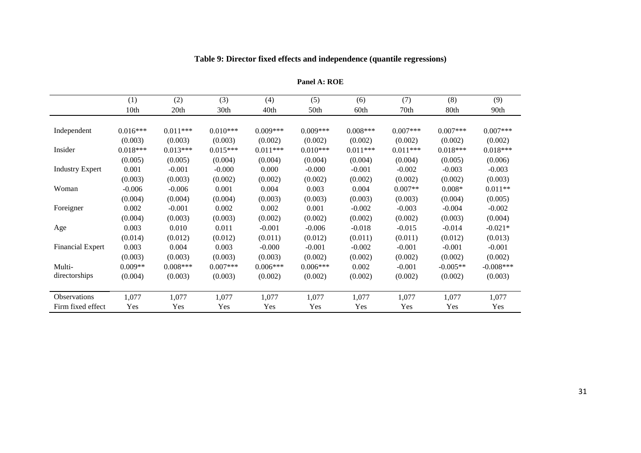|                         | (1)        | (2)        | (3)        | (4)        | (5)        | (6)        | (7)        | (8)        | (9)         |
|-------------------------|------------|------------|------------|------------|------------|------------|------------|------------|-------------|
|                         | 10th       | 20th       | 30th       | 40th       | 50th       | 60th       | 70th       | 80th       | 90th        |
|                         |            |            |            |            |            |            |            |            |             |
| Independent             | $0.016***$ | $0.011***$ | $0.010***$ | $0.009***$ | $0.009***$ | $0.008***$ | $0.007***$ | $0.007***$ | $0.007***$  |
|                         | (0.003)    | (0.003)    | (0.003)    | (0.002)    | (0.002)    | (0.002)    | (0.002)    | (0.002)    | (0.002)     |
| Insider                 | $0.018***$ | $0.013***$ | $0.015***$ | $0.011***$ | $0.010***$ | $0.011***$ | $0.011***$ | $0.018***$ | $0.018***$  |
|                         | (0.005)    | (0.005)    | (0.004)    | (0.004)    | (0.004)    | (0.004)    | (0.004)    | (0.005)    | (0.006)     |
| <b>Industry Expert</b>  | 0.001      | $-0.001$   | $-0.000$   | 0.000      | $-0.000$   | $-0.001$   | $-0.002$   | $-0.003$   | $-0.003$    |
|                         | (0.003)    | (0.003)    | (0.002)    | (0.002)    | (0.002)    | (0.002)    | (0.002)    | (0.002)    | (0.003)     |
| Woman                   | $-0.006$   | $-0.006$   | 0.001      | 0.004      | 0.003      | 0.004      | $0.007**$  | $0.008*$   | $0.011**$   |
|                         | (0.004)    | (0.004)    | (0.004)    | (0.003)    | (0.003)    | (0.003)    | (0.003)    | (0.004)    | (0.005)     |
| Foreigner               | 0.002      | $-0.001$   | 0.002      | 0.002      | 0.001      | $-0.002$   | $-0.003$   | $-0.004$   | $-0.002$    |
|                         | (0.004)    | (0.003)    | (0.003)    | (0.002)    | (0.002)    | (0.002)    | (0.002)    | (0.003)    | (0.004)     |
| Age                     | 0.003      | 0.010      | 0.011      | $-0.001$   | $-0.006$   | $-0.018$   | $-0.015$   | $-0.014$   | $-0.021*$   |
|                         | (0.014)    | (0.012)    | (0.012)    | (0.011)    | (0.012)    | (0.011)    | (0.011)    | (0.012)    | (0.013)     |
| <b>Financial Expert</b> | 0.003      | 0.004      | 0.003      | $-0.000$   | $-0.001$   | $-0.002$   | $-0.001$   | $-0.001$   | $-0.001$    |
|                         | (0.003)    | (0.003)    | (0.003)    | (0.003)    | (0.002)    | (0.002)    | (0.002)    | (0.002)    | (0.002)     |
| Multi-                  | $0.009**$  | $0.008***$ | $0.007***$ | $0.006***$ | $0.006***$ | 0.002      | $-0.001$   | $-0.005**$ | $-0.008***$ |
| directorships           | (0.004)    | (0.003)    | (0.003)    | (0.002)    | (0.002)    | (0.002)    | (0.002)    | (0.002)    | (0.003)     |
|                         |            |            |            |            |            |            |            |            |             |
| Observations            | 1,077      | 1,077      | 1,077      | 1,077      | 1,077      | 1,077      | 1,077      | 1,077      | 1,077       |
| Firm fixed effect       | Yes        | Yes        | Yes        | Yes        | Yes        | Yes        | Yes        | Yes        | Yes         |

#### **Table 9: Director fixed effects and independence (quantile regressions)**

**Panel A: ROE**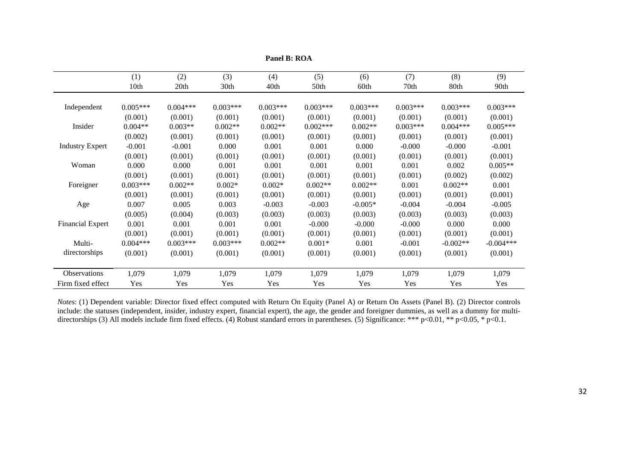|                         | (1)        | (2)        | (3)        | (4)        | (5)        | (6)        | (7)        | (8)        | (9)         |
|-------------------------|------------|------------|------------|------------|------------|------------|------------|------------|-------------|
|                         | 10th       | 20th       | 30th       | 40th       | 50th       | 60th       | 70th       | 80th       | 90th        |
| Independent             | $0.005***$ | $0.004***$ | $0.003***$ | $0.003***$ | $0.003***$ | $0.003***$ | $0.003***$ | $0.003***$ | $0.003***$  |
|                         | (0.001)    | (0.001)    | (0.001)    | (0.001)    | (0.001)    | (0.001)    | (0.001)    | (0.001)    | (0.001)     |
| Insider                 | $0.004**$  | $0.003**$  | $0.002**$  | $0.002**$  | $0.002***$ | $0.002**$  | $0.003***$ | $0.004***$ | $0.005***$  |
|                         | (0.002)    | (0.001)    | (0.001)    | (0.001)    | (0.001)    | (0.001)    | (0.001)    | (0.001)    | (0.001)     |
| <b>Industry Expert</b>  | $-0.001$   | $-0.001$   | 0.000      | 0.001      | 0.001      | 0.000      | $-0.000$   | $-0.000$   | $-0.001$    |
|                         | (0.001)    | (0.001)    | (0.001)    | (0.001)    | (0.001)    | (0.001)    | (0.001)    | (0.001)    | (0.001)     |
| Woman                   | 0.000      | 0.000      | 0.001      | 0.001      | 0.001      | 0.001      | 0.001      | 0.002      | $0.005**$   |
|                         | (0.001)    | (0.001)    | (0.001)    | (0.001)    | (0.001)    | (0.001)    | (0.001)    | (0.002)    | (0.002)     |
| Foreigner               | $0.003***$ | $0.002**$  | $0.002*$   | $0.002*$   | $0.002**$  | $0.002**$  | 0.001      | $0.002**$  | 0.001       |
|                         | (0.001)    | (0.001)    | (0.001)    | (0.001)    | (0.001)    | (0.001)    | (0.001)    | (0.001)    | (0.001)     |
| Age                     | 0.007      | 0.005      | 0.003      | $-0.003$   | $-0.003$   | $-0.005*$  | $-0.004$   | $-0.004$   | $-0.005$    |
|                         | (0.005)    | (0.004)    | (0.003)    | (0.003)    | (0.003)    | (0.003)    | (0.003)    | (0.003)    | (0.003)     |
| <b>Financial Expert</b> | 0.001      | 0.001      | 0.001      | 0.001      | $-0.000$   | $-0.000$   | $-0.000$   | 0.000      | 0.000       |
|                         | (0.001)    | (0.001)    | (0.001)    | (0.001)    | (0.001)    | (0.001)    | (0.001)    | (0.001)    | (0.001)     |
| Multi-                  | $0.004***$ | $0.003***$ | $0.003***$ | $0.002**$  | $0.001*$   | 0.001      | $-0.001$   | $-0.002**$ | $-0.004***$ |
| directorships           | (0.001)    | (0.001)    | (0.001)    | (0.001)    | (0.001)    | (0.001)    | (0.001)    | (0.001)    | (0.001)     |
| Observations            | 1,079      | 1,079      | 1,079      | 1,079      | 1,079      | 1,079      | 1,079      | 1,079      | 1,079       |
| Firm fixed effect       | Yes        | Yes        | Yes        | Yes        | Yes        | Yes        | Yes        | Yes        | Yes         |

**Panel B: ROA** 

*Notes*: (1) Dependent variable: Director fixed effect computed with Return On Equity (Panel A) or Return On Assets (Panel B). (2) Director controls include: the statuses (independent, insider, industry expert, financial e directorships (3) All models include firm fixed effects. (4) Robust standard errors in parentheses. (5) Significance: \*\*\* p<0.01, \*\* p<0.05, \* p<0.1.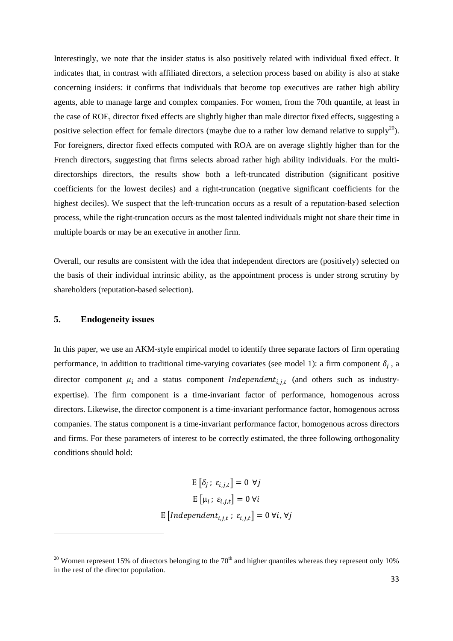Interestingly, we note that the insider status is also positively related with individual fixed effect. It indicates that, in contrast with affiliated directors, a selection process based on ability is also at stake concerning insiders: it confirms that individuals that become top executives are rather high ability agents, able to manage large and complex companies. For women, from the 70th quantile, at least in the case of ROE, director fixed effects are slightly higher than male director fixed effects, suggesting a positive selection effect for female directors (maybe due to a rather low demand relative to supply<sup>20</sup>). For foreigners, director fixed effects computed with ROA are on average slightly higher than for the French directors, suggesting that firms selects abroad rather high ability individuals. For the multidirectorships directors, the results show both a left-truncated distribution (significant positive coefficients for the lowest deciles) and a right-truncation (negative significant coefficients for the highest deciles). We suspect that the left-truncation occurs as a result of a reputation-based selection process, while the right-truncation occurs as the most talented individuals might not share their time in multiple boards or may be an executive in another firm.

Overall, our results are consistent with the idea that independent directors are (positively) selected on the basis of their individual intrinsic ability, as the appointment process is under strong scrutiny by shareholders (reputation-based selection).

#### **5. Endogeneity issues**

In this paper, we use an AKM-style empirical model to identify three separate factors of firm operating performance, in addition to traditional time-varying covariates (see model 1): a firm component  $\delta_i$ , a director component  $\mu_i$  and a status component *Independent<sub>i,j,t</sub>* (and others such as industryexpertise). The firm component is a time-invariant factor of performance, homogenous across directors. Likewise, the director component is a time-invariant performance factor, homogenous across companies. The status component is a time-invariant performance factor, homogenous across directors and firms. For these parameters of interest to be correctly estimated, the three following orthogonality conditions should hold:

$$
E\left[\delta_j; \varepsilon_{i,j,t}\right] = 0 \ \forall j
$$

$$
E\left[\mu_i; \varepsilon_{i,j,t}\right] = 0 \ \forall i
$$

$$
E\left[Independent_{i,j,t}; \varepsilon_{i,j,t}\right] = 0 \ \forall i, \forall j
$$

<sup>&</sup>lt;sup>20</sup> Women represent 15% of directors belonging to the 70<sup>th</sup> and higher quantiles whereas they represent only 10% in the rest of the director population.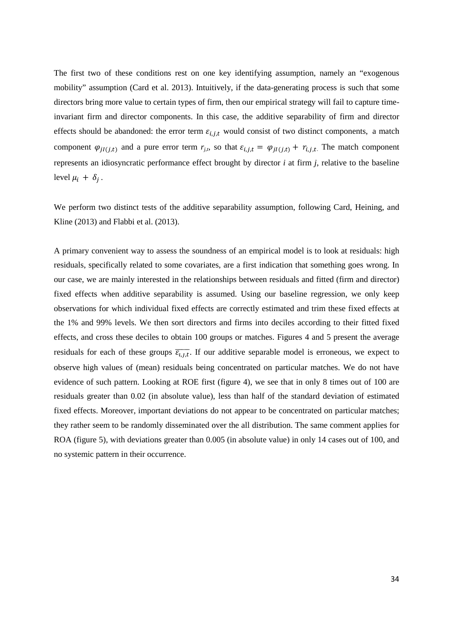The first two of these conditions rest on one key identifying assumption, namely an "exogenous mobility" assumption (Card et al. 2013). Intuitively, if the data-generating process is such that some directors bring more value to certain types of firm, then our empirical strategy will fail to capture timeinvariant firm and director components. In this case, the additive separability of firm and director effects should be abandoned: the error term  $\varepsilon_{i,j,t}$  would consist of two distinct components, a match component  $\varphi_{jl(j,t)}$  and a pure error term  $r_{j,t}$ , so that  $\varepsilon_{i,j,t} = \varphi_{jl(j,t)} + r_{i,j,t}$ . The match component represents an idiosyncratic performance effect brought by director *i* at firm *j*, relative to the baseline level  $\mu_i + \delta_j$ .

We perform two distinct tests of the additive separability assumption, following Card, Heining, and Kline (2013) and Flabbi et al. (2013).

A primary convenient way to assess the soundness of an empirical model is to look at residuals: high residuals, specifically related to some covariates, are a first indication that something goes wrong. In our case, we are mainly interested in the relationships between residuals and fitted (firm and director) fixed effects when additive separability is assumed. Using our baseline regression, we only keep observations for which individual fixed effects are correctly estimated and trim these fixed effects at the 1% and 99% levels. We then sort directors and firms into deciles according to their fitted fixed effects, and cross these deciles to obtain 100 groups or matches. Figures 4 and 5 present the average residuals for each of these groups  $\overline{\epsilon_{i,j,t}}$ . If our additive separable model is erroneous, we expect to observe high values of (mean) residuals being concentrated on particular matches. We do not have evidence of such pattern. Looking at ROE first (figure 4), we see that in only 8 times out of 100 are residuals greater than 0.02 (in absolute value), less than half of the standard deviation of estimated fixed effects. Moreover, important deviations do not appear to be concentrated on particular matches; they rather seem to be randomly disseminated over the all distribution. The same comment applies for ROA (figure 5), with deviations greater than 0.005 (in absolute value) in only 14 cases out of 100, and no systemic pattern in their occurrence.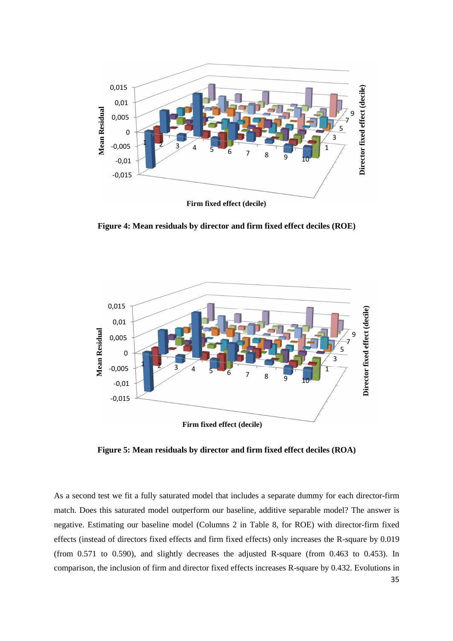

**Figure 4: Mean residuals by director and firm fixed effect deciles (ROE)** 



**Figure 5: Mean residuals by director and firm fixed effect deciles (ROA)**

As a second test we fit a fully saturated model that includes a separate dummy for each director-firm match. Does this saturated model outperform our baseline, additive separable model? The answer is negative. Estimating our baseline model (Columns 2 in Table 8, for ROE) with director-firm fixed effects (instead of directors fixed effects and firm fixed effects) only increases the R-square by 0.019 (from 0.571 to 0.590), and slightly decreases the adjusted R-square (from 0.463 to 0.453). In comparison, the inclusion of firm and director fixed effects increases R-square by 0.432. Evolutions in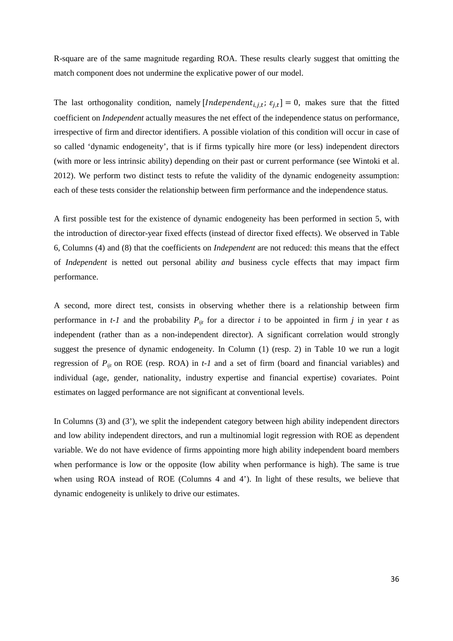R-square are of the same magnitude regarding ROA. These results clearly suggest that omitting the match component does not undermine the explicative power of our model.

The last orthogonality condition, namely [*Independent<sub>i,j,t</sub>*;  $\varepsilon_{j,t}$ ] = 0, makes sure that the fitted coefficient on *Independent* actually measures the net effect of the independence status on performance, irrespective of firm and director identifiers. A possible violation of this condition will occur in case of so called 'dynamic endogeneity', that is if firms typically hire more (or less) independent directors (with more or less intrinsic ability) depending on their past or current performance (see Wintoki et al. 2012). We perform two distinct tests to refute the validity of the dynamic endogeneity assumption: each of these tests consider the relationship between firm performance and the independence status.

A first possible test for the existence of dynamic endogeneity has been performed in section 5, with the introduction of director-year fixed effects (instead of director fixed effects). We observed in Table 6, Columns (4) and (8) that the coefficients on *Independent* are not reduced: this means that the effect of *Independent* is netted out personal ability *and* business cycle effects that may impact firm performance.

A second, more direct test, consists in observing whether there is a relationship between firm performance in  $t$ -1 and the probability  $P_{ijt}$  for a director *i* to be appointed in firm *j* in year *t* as independent (rather than as a non-independent director). A significant correlation would strongly suggest the presence of dynamic endogeneity. In Column (1) (resp. 2) in Table 10 we run a logit regression of *Pijt* on ROE (resp. ROA) in *t-1* and a set of firm (board and financial variables) and individual (age, gender, nationality, industry expertise and financial expertise) covariates. Point estimates on lagged performance are not significant at conventional levels.

In Columns (3) and (3'), we split the independent category between high ability independent directors and low ability independent directors, and run a multinomial logit regression with ROE as dependent variable. We do not have evidence of firms appointing more high ability independent board members when performance is low or the opposite (low ability when performance is high). The same is true when using ROA instead of ROE (Columns 4 and 4'). In light of these results, we believe that dynamic endogeneity is unlikely to drive our estimates.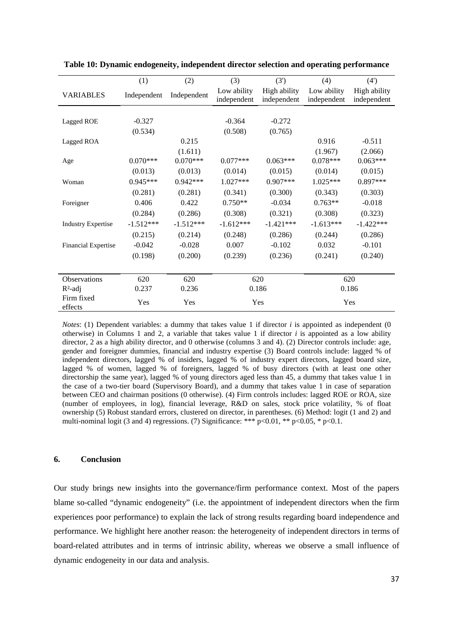|                            | (1)         | (2)         | (3)         | (3')         | (4)         | (4')         |
|----------------------------|-------------|-------------|-------------|--------------|-------------|--------------|
| <b>VARIABLES</b>           | Independent | Independent | Low ability | High ability | Low ability | High ability |
|                            |             |             | independent | independent  | independent | independent  |
|                            |             |             |             |              |             |              |
| Lagged ROE                 | $-0.327$    |             | $-0.364$    | $-0.272$     |             |              |
|                            | (0.534)     |             | (0.508)     | (0.765)      |             |              |
| Lagged ROA                 |             | 0.215       |             |              | 0.916       | $-0.511$     |
|                            |             | (1.611)     |             |              | (1.967)     | (2.066)      |
| Age                        | $0.070***$  | $0.070***$  | $0.077***$  | $0.063***$   | $0.078***$  | $0.063***$   |
|                            | (0.013)     | (0.013)     | (0.014)     | (0.015)      | (0.014)     | (0.015)      |
| Woman                      | $0.945***$  | $0.942***$  | $1.027***$  | $0.907***$   | $1.025***$  | $0.897***$   |
|                            | (0.281)     | (0.281)     | (0.341)     | (0.300)      | (0.343)     | (0.303)      |
| Foreigner                  | 0.406       | 0.422       | $0.750**$   | $-0.034$     | $0.763**$   | $-0.018$     |
|                            | (0.284)     | (0.286)     | (0.308)     | (0.321)      | (0.308)     | (0.323)      |
| <b>Industry Expertise</b>  | $-1.512***$ | $-1.512***$ | $-1.612***$ | $-1.421***$  | $-1.613***$ | $-1.422***$  |
|                            | (0.215)     | (0.214)     | (0.248)     | (0.286)      | (0.244)     | (0.286)      |
| <b>Financial Expertise</b> | $-0.042$    | $-0.028$    | 0.007       | $-0.102$     | 0.032       | $-0.101$     |
|                            | (0.198)     | (0.200)     | (0.239)     | (0.236)      | (0.241)     | (0.240)      |
|                            |             |             |             |              |             |              |
| Observations               | 620         | 620         |             | 620          |             | 620          |
| $R^2$ -adj                 | 0.237       | 0.236       |             | 0.186        |             | 0.186        |
| Firm fixed<br>effects      | Yes         | Yes         | Yes         |              |             | Yes          |

**Table 10: Dynamic endogeneity, independent director selection and operating performance** 

*Notes*: (1) Dependent variables: a dummy that takes value 1 if director *i* is appointed as independent (0) otherwise) in Columns 1 and 2, a variable that takes value 1 if director  $i$  is appointed as a low ability director, 2 as a high ability director, and 0 otherwise (columns 3 and 4). (2) Director controls include: age, gender and foreigner dummies, financial and industry expertise (3) Board controls include: lagged % of independent directors, lagged % of insiders, lagged % of industry expert directors, lagged board size, lagged % of women, lagged % of foreigners, lagged % of busy directors (with at least one other directorship the same year), lagged % of young directors aged less than 45, a dummy that takes value 1 in the case of a two-tier board (Supervisory Board), and a dummy that takes value 1 in case of separation between CEO and chairman positions (0 otherwise). (4) Firm controls includes: lagged ROE or ROA, size (number of employees, in log), financial leverage, R&D on sales, stock price volatility, % of float ownership (5) Robust standard errors, clustered on director, in parentheses. (6) Method: logit (1 and 2) and multi-nominal logit (3 and 4) regressions. (7) Significance: \*\*\*  $p<0.01$ , \*\*  $p<0.05$ , \*  $p<0.1$ .

#### **6. Conclusion**

Our study brings new insights into the governance/firm performance context. Most of the papers blame so-called "dynamic endogeneity" (i.e. the appointment of independent directors when the firm experiences poor performance) to explain the lack of strong results regarding board independence and performance. We highlight here another reason: the heterogeneity of independent directors in terms of board-related attributes and in terms of intrinsic ability, whereas we observe a small influence of dynamic endogeneity in our data and analysis.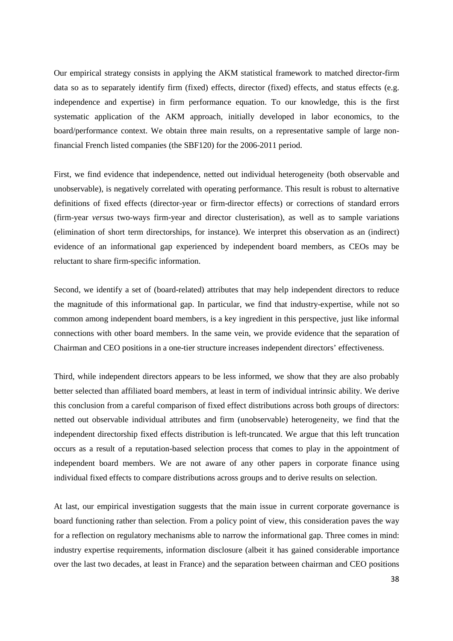Our empirical strategy consists in applying the AKM statistical framework to matched director-firm data so as to separately identify firm (fixed) effects, director (fixed) effects, and status effects (e.g. independence and expertise) in firm performance equation. To our knowledge, this is the first systematic application of the AKM approach, initially developed in labor economics, to the board/performance context. We obtain three main results, on a representative sample of large nonfinancial French listed companies (the SBF120) for the 2006-2011 period.

First, we find evidence that independence, netted out individual heterogeneity (both observable and unobservable), is negatively correlated with operating performance. This result is robust to alternative definitions of fixed effects (director-year or firm-director effects) or corrections of standard errors (firm-year *versus* two-ways firm-year and director clusterisation), as well as to sample variations (elimination of short term directorships, for instance). We interpret this observation as an (indirect) evidence of an informational gap experienced by independent board members, as CEOs may be reluctant to share firm-specific information.

Second, we identify a set of (board-related) attributes that may help independent directors to reduce the magnitude of this informational gap. In particular, we find that industry-expertise, while not so common among independent board members, is a key ingredient in this perspective, just like informal connections with other board members. In the same vein, we provide evidence that the separation of Chairman and CEO positions in a one-tier structure increases independent directors' effectiveness.

Third, while independent directors appears to be less informed, we show that they are also probably better selected than affiliated board members, at least in term of individual intrinsic ability. We derive this conclusion from a careful comparison of fixed effect distributions across both groups of directors: netted out observable individual attributes and firm (unobservable) heterogeneity, we find that the independent directorship fixed effects distribution is left-truncated. We argue that this left truncation occurs as a result of a reputation-based selection process that comes to play in the appointment of independent board members. We are not aware of any other papers in corporate finance using individual fixed effects to compare distributions across groups and to derive results on selection.

At last, our empirical investigation suggests that the main issue in current corporate governance is board functioning rather than selection. From a policy point of view, this consideration paves the way for a reflection on regulatory mechanisms able to narrow the informational gap. Three comes in mind: industry expertise requirements, information disclosure (albeit it has gained considerable importance over the last two decades, at least in France) and the separation between chairman and CEO positions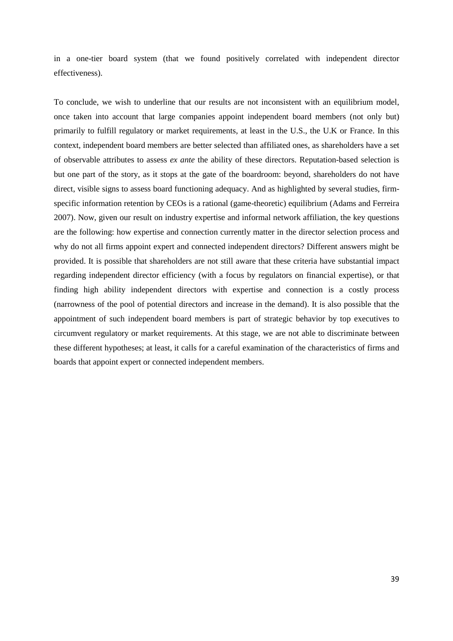in a one-tier board system (that we found positively correlated with independent director effectiveness).

To conclude, we wish to underline that our results are not inconsistent with an equilibrium model, once taken into account that large companies appoint independent board members (not only but) primarily to fulfill regulatory or market requirements, at least in the U.S., the U.K or France. In this context, independent board members are better selected than affiliated ones, as shareholders have a set of observable attributes to assess *ex ante* the ability of these directors. Reputation-based selection is but one part of the story, as it stops at the gate of the boardroom: beyond, shareholders do not have direct, visible signs to assess board functioning adequacy. And as highlighted by several studies, firmspecific information retention by CEOs is a rational (game-theoretic) equilibrium (Adams and Ferreira 2007). Now, given our result on industry expertise and informal network affiliation, the key questions are the following: how expertise and connection currently matter in the director selection process and why do not all firms appoint expert and connected independent directors? Different answers might be provided. It is possible that shareholders are not still aware that these criteria have substantial impact regarding independent director efficiency (with a focus by regulators on financial expertise), or that finding high ability independent directors with expertise and connection is a costly process (narrowness of the pool of potential directors and increase in the demand). It is also possible that the appointment of such independent board members is part of strategic behavior by top executives to circumvent regulatory or market requirements. At this stage, we are not able to discriminate between these different hypotheses; at least, it calls for a careful examination of the characteristics of firms and boards that appoint expert or connected independent members.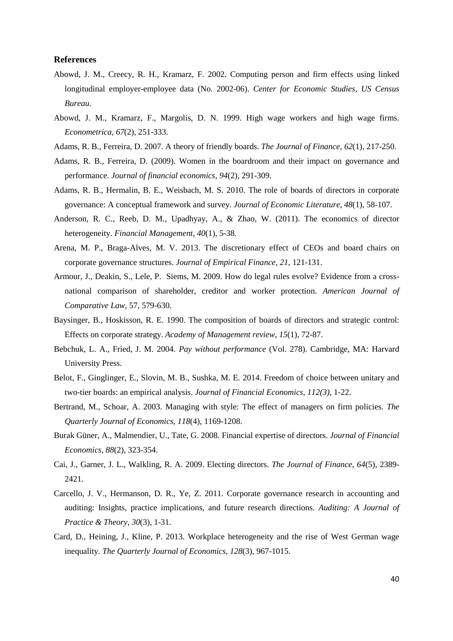#### **References**

- Abowd, J. M., Creecy, R. H., Kramarz, F. 2002. Computing person and firm effects using linked longitudinal employer-employee data (No. 2002-06). *Center for Economic Studies, US Census Bureau.*
- Abowd, J. M., Kramarz, F., Margolis, D. N. 1999. High wage workers and high wage firms. *Econometrica*, *67*(2), 251-333.
- Adams, R. B., Ferreira, D. 2007. A theory of friendly boards. *The Journal of Finance*, *62*(1), 217-250.
- Adams, R. B., Ferreira, D. (2009). Women in the boardroom and their impact on governance and performance. *Journal of financial economics*, *94*(2), 291-309.
- Adams, R. B., Hermalin, B. E., Weisbach, M. S. 2010. The role of boards of directors in corporate governance: A conceptual framework and survey. *Journal of Economic Literature*, *48*(1), 58-107.
- Anderson, R. C., Reeb, D. M., Upadhyay, A., & Zhao, W. (2011). The economics of director heterogeneity. *Financial Management*, *40*(1), 5-38.
- Arena, M. P., Braga-Alves, M. V. 2013. The discretionary effect of CEOs and board chairs on corporate governance structures. *Journal of Empirical Finance*, *21*, 121-131.
- Armour, J., Deakin, S., Lele, P. Siems, M. 2009. How do legal rules evolve? Evidence from a crossnational comparison of shareholder, creditor and worker protection. *American Journal of Comparative Law,* 57, 579-630.
- Baysinger, B., Hoskisson, R. E. 1990. The composition of boards of directors and strategic control: Effects on corporate strategy. *Academy of Management review*, *15*(1), 72-87.
- Bebchuk, L. A., Fried, J. M. 2004. *Pay without performance* (Vol. 278). Cambridge, MA: Harvard University Press.
- Belot, F., Ginglinger, E., Slovin, M. B., Sushka, M. E. 2014. Freedom of choice between unitary and two-tier boards: an empirical analysis. *Journal of Financial Economics*, *112(3)*, 1-22.
- Bertrand, M., Schoar, A. 2003. Managing with style: The effect of managers on firm policies. *The Quarterly Journal of Economics*, *118*(4), 1169-1208.
- Burak Güner, A., Malmendier, U., Tate, G. 2008. Financial expertise of directors. *Journal of Financial Economics*, *88*(2), 323-354.
- Cai, J., Garner, J. L., Walkling, R. A. 2009. Electing directors. *The Journal of Finance*, *64*(5), 2389- 2421.
- Carcello, J. V., Hermanson, D. R., Ye, Z. 2011. Corporate governance research in accounting and auditing: Insights, practice implications, and future research directions. *Auditing: A Journal of Practice & Theory*, *30*(3), 1-31.
- Card, D., Heining, J., Kline, P. 2013. Workplace heterogeneity and the rise of West German wage inequality. *The Quarterly Journal of Economics*, *128*(3), 967-1015.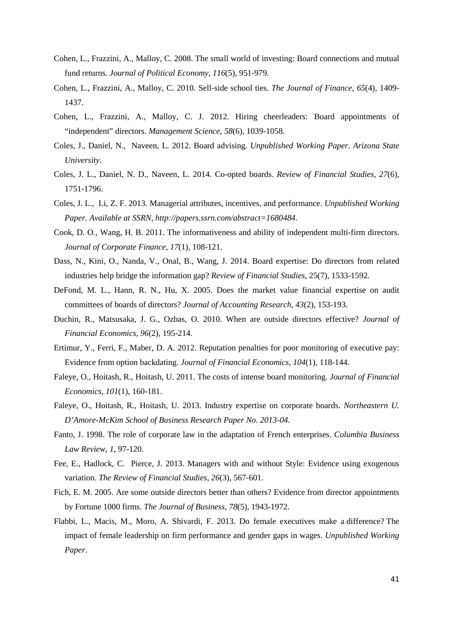- Cohen, L., Frazzini, A., Malloy, C. 2008. The small world of investing: Board connections and mutual fund returns. *Journal of Political Economy*, *116*(5), 951-979.
- Cohen, L., Frazzini, A., Malloy, C. 2010. Sell‐side school ties. *The Journal of Finance*, *65*(4), 1409- 1437.
- Cohen, L., Frazzini, A., Malloy, C. J. 2012. Hiring cheerleaders: Board appointments of "independent" directors. *Management Science*, *58*(6), 1039-1058.
- Coles, J., Daniel, N., Naveen, L. 2012. Board advising. *Unpublished Working Paper. Arizona State University*.
- Coles, J. L., Daniel, N. D., Naveen, L. 2014. Co-opted boards. *Review of Financial Studies*, *27*(6), 1751-1796.
- Coles, J. L., Li, Z. F. 2013. Managerial attributes, incentives, and performance. *Unpublished* W*orking Paper. Available at SSRN, http://papers.ssrn.com/abstract=1680484.*
- Cook, D. O., Wang, H. B. 2011. The informativeness and ability of independent multi-firm directors. *Journal of Corporate Finance*, *17*(1), 108-121.
- Dass, N., Kini, O., Nanda, V., Onal, B., Wang, J. 2014. Board expertise: Do directors from related industries help bridge the information gap? *Review of Financial Studies*, 25(7), 1533-1592.
- DeFond, M. L., Hann, R. N., Hu, X. 2005. Does the market value financial expertise on audit committees of boards of directors? *Journal of Accounting Research*, *43*(2), 153-193.
- Duchin, R., Matsusaka, J. G., Ozbas, O. 2010. When are outside directors effective? *Journal of Financial Economics*, *96*(2), 195-214.
- Ertimur, Y., Ferri, F., Maber, D. A. 2012. Reputation penalties for poor monitoring of executive pay: Evidence from option backdating. *Journal of Financial Economics*, *104*(1), 118-144.
- Faleye, O., Hoitash, R., Hoitash, U. 2011. The costs of intense board monitoring. *Journal of Financial Economics*, *101*(1), 160-181.
- Faleye, O., Hoitash, R., Hoitash, U. 2013. Industry expertise on corporate boards. *Northeastern U. D'Amore-McKim School of Business Research Paper No. 2013-04.*
- Fanto, J. 1998. The role of corporate law in the adaptation of French enterprises. *Columbia Business Law Review*, *1*, 97-120.
- Fee, E., Hadlock, C. Pierce, J. 2013. Managers with and without Style: Evidence using exogenous variation. *The Review of Financial Studies*, *26*(3), 567-601.
- Fich, E. M. 2005. Are some outside directors better than others? Evidence from director appointments by Fortune 1000 firms. *The Journal of Business*, *78*(5), 1943-1972.
- Flabbi, L., Macis, M., Moro, A. Shivardi, F. 2013. Do female executives make a difference? The impact of female leadership on firm performance and gender gaps in wages. *Unpublished Working Paper*.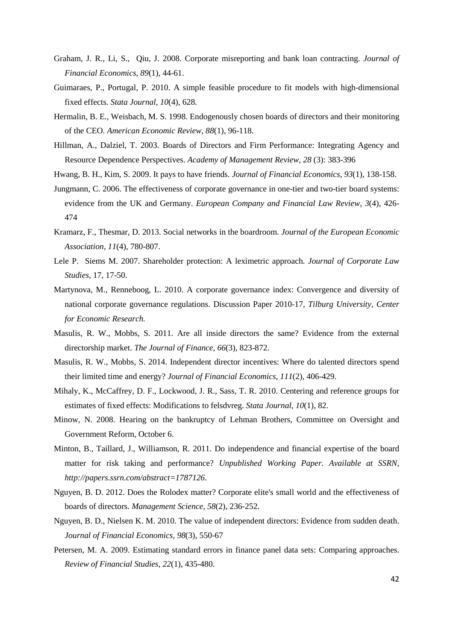- Graham, J. R., Li, S., Qiu, J. 2008. Corporate misreporting and bank loan contracting. *Journal of Financial Economics*, *89*(1), 44-61.
- Guimaraes, P., Portugal, P. 2010. A simple feasible procedure to fit models with high-dimensional fixed effects. *Stata Journal*, *10*(4), 628.
- Hermalin, B. E., Weisbach, M. S. 1998. Endogenously chosen boards of directors and their monitoring of the CEO. *American Economic Review*, *88*(1), 96-118.
- Hillman, A., Dalziel, T. 2003. Boards of Directors and Firm Performance: Integrating Agency and Resource Dependence Perspectives. *Academy of Management Review, 28* (3): 383-396
- Hwang, B. H., Kim, S. 2009. It pays to have friends. *Journal of Financial Economics*, *93*(1), 138-158.
- Jungmann, C. 2006. The effectiveness of corporate governance in one-tier and two-tier board systems: evidence from the UK and Germany. *European Company and Financial Law Review*, *3*(4), 426- 474
- Kramarz, F., Thesmar, D. 2013. Social networks in the boardroom. *Journal of the European Economic Association*, *11*(4), 780-807.
- Lele P. Siems M. 2007. Shareholder protection: A leximetric approach. *Journal of Corporate Law Studies*, 17, 17-50.
- Martynova, M., Renneboog, L. 2010. A corporate governance index: Convergence and diversity of national corporate governance regulations. Discussion Paper 2010-17, *Tilburg University, Center for Economic Research.*
- Masulis, R. W., Mobbs, S. 2011. Are all inside directors the same? Evidence from the external directorship market. *The Journal of Finance*, *66*(3), 823-872.
- Masulis, R. W., Mobbs, S. 2014. Independent director incentives: Where do talented directors spend their limited time and energy? *Journal of Financial Economics*, *111*(2), 406-429.
- Mihaly, K., McCaffrey, D. F., Lockwood, J. R., Sass, T. R. 2010. Centering and reference groups for estimates of fixed effects: Modifications to felsdvreg. *Stata Journal*, *10*(1), 82.
- Minow, N. 2008. Hearing on the bankruptcy of Lehman Brothers, Committee on Oversight and Government Reform, October 6.
- Minton, B., Taillard, J., Williamson, R. 2011. Do independence and financial expertise of the board matter for risk taking and performance? *Unpublished Working Paper. Available at SSRN, http://papers.ssrn.com/abstract=1787126*.
- Nguyen, B. D. 2012. Does the Rolodex matter? Corporate elite's small world and the effectiveness of boards of directors. *Management Science*, *58*(2), 236-252.
- Nguyen, B. D., Nielsen K. M. 2010. The value of independent directors: Evidence from sudden death. *Journal of Financial Economics, 98*(3), 550-67
- Petersen, M. A. 2009. Estimating standard errors in finance panel data sets: Comparing approaches. *Review of Financial Studies*, *22*(1), 435-480.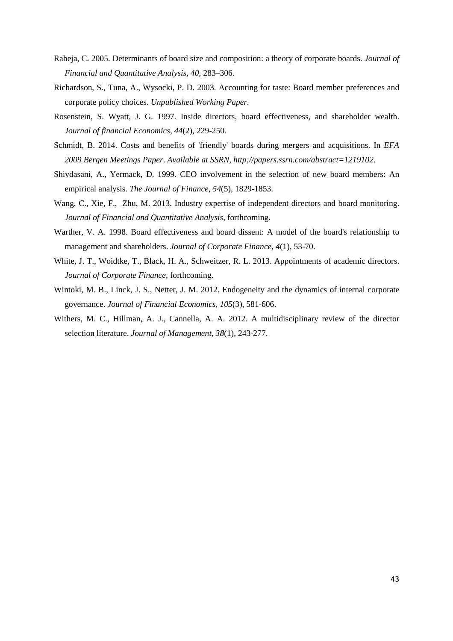- Raheja, C. 2005. Determinants of board size and composition: a theory of corporate boards. *Journal of Financial and Quantitative Analysis, 40*, 283–306.
- Richardson, S., Tuna, A., Wysocki, P. D. 2003. Accounting for taste: Board member preferences and corporate policy choices. *Unpublished Working Paper.*
- Rosenstein, S. Wyatt, J. G. 1997. Inside directors, board effectiveness, and shareholder wealth. *Journal of financial Economics*, *44*(2), 229-250.
- Schmidt, B. 2014. Costs and benefits of 'friendly' boards during mergers and acquisitions. In *EFA 2009 Bergen Meetings Paper*. *Available at SSRN, http://papers.ssrn.com/abstract=1219102.*
- Shivdasani, A., Yermack, D. 1999. CEO involvement in the selection of new board members: An empirical analysis. *The Journal of Finance*, *54*(5), 1829-1853.
- Wang, C., Xie, F., Zhu, M. 2013. Industry expertise of independent directors and board monitoring. *Journal of Financial and Quantitative Analysis*, forthcoming.
- Warther, V. A. 1998. Board effectiveness and board dissent: A model of the board's relationship to management and shareholders. *Journal of Corporate Finance*, *4*(1), 53-70.
- White, J. T., Woidtke, T., Black, H. A., Schweitzer, R. L. 2013. Appointments of academic directors. *Journal of Corporate Finance*, forthcoming.
- Wintoki, M. B., Linck, J. S., Netter, J. M. 2012. Endogeneity and the dynamics of internal corporate governance. *Journal of Financial Economics*, *105*(3), 581-606.
- Withers, M. C., Hillman, A. J., Cannella, A. A. 2012. A multidisciplinary review of the director selection literature. *Journal of Management*, *38*(1), 243-277.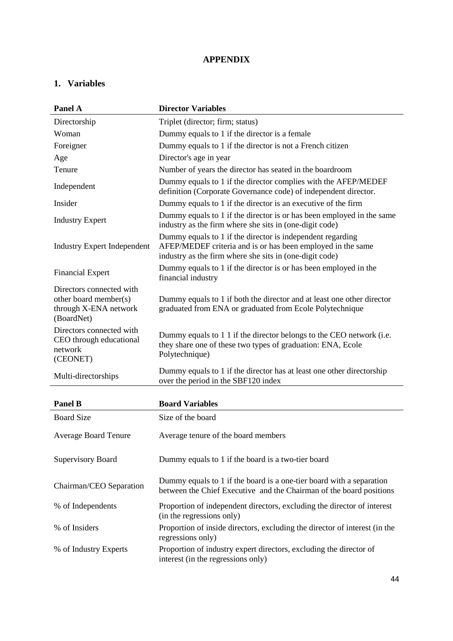## **APPENDIX**

# **1. Variables**

| Panel A                                                                                  | <b>Director Variables</b>                                                                                                                                                            |
|------------------------------------------------------------------------------------------|--------------------------------------------------------------------------------------------------------------------------------------------------------------------------------------|
| Directorship                                                                             | Triplet (director; firm; status)                                                                                                                                                     |
| Woman                                                                                    | Dummy equals to 1 if the director is a female                                                                                                                                        |
| Foreigner                                                                                | Dummy equals to 1 if the director is not a French citizen                                                                                                                            |
| Age                                                                                      | Director's age in year                                                                                                                                                               |
| Tenure                                                                                   | Number of years the director has seated in the boardroom                                                                                                                             |
| Independent                                                                              | Dummy equals to 1 if the director complies with the AFEP/MEDEF<br>definition (Corporate Governance code) of independent director.                                                    |
| Insider                                                                                  | Dummy equals to 1 if the director is an executive of the firm                                                                                                                        |
| <b>Industry Expert</b>                                                                   | Dummy equals to 1 if the director is or has been employed in the same<br>industry as the firm where she sits in (one-digit code)                                                     |
| <b>Industry Expert Independent</b>                                                       | Dummy equals to 1 if the director is independent regarding<br>AFEP/MEDEF criteria and is or has been employed in the same<br>industry as the firm where she sits in (one-digit code) |
| <b>Financial Expert</b>                                                                  | Dummy equals to 1 if the director is or has been employed in the<br>financial industry                                                                                               |
| Directors connected with<br>other board member(s)<br>through X-ENA network<br>(BoardNet) | Dummy equals to 1 if both the director and at least one other director<br>graduated from ENA or graduated from Ecole Polytechnique                                                   |
| Directors connected with<br>CEO through educational<br>network<br>(CEONET)               | Dummy equals to 1 1 if the director belongs to the CEO network (i.e.<br>they share one of these two types of graduation: ENA, Ecole<br>Polytechnique)                                |
| Multi-directorships                                                                      | Dummy equals to 1 if the director has at least one other directorship<br>over the period in the SBF120 index                                                                         |
| <b>Panel B</b>                                                                           | <b>Board Variables</b>                                                                                                                                                               |
| <b>Board Size</b>                                                                        | Size of the board                                                                                                                                                                    |
| <b>Average Board Tenure</b>                                                              | Average tenure of the board members                                                                                                                                                  |
| <b>Supervisory Board</b>                                                                 | Dummy equals to 1 if the board is a two-tier board                                                                                                                                   |
| Chairman/CEO Separation                                                                  | Dummy equals to 1 if the board is a one-tier board with a separation<br>between the Chief Executive and the Chairman of the board positions                                          |
| % of Independents                                                                        | Proportion of independent directors, excluding the director of interest<br>(in the regressions only)                                                                                 |
| % of Insiders                                                                            | Proportion of inside directors, excluding the director of interest (in the<br>regressions only)                                                                                      |
| % of Industry Experts                                                                    | Proportion of industry expert directors, excluding the director of<br>interest (in the regressions only)                                                                             |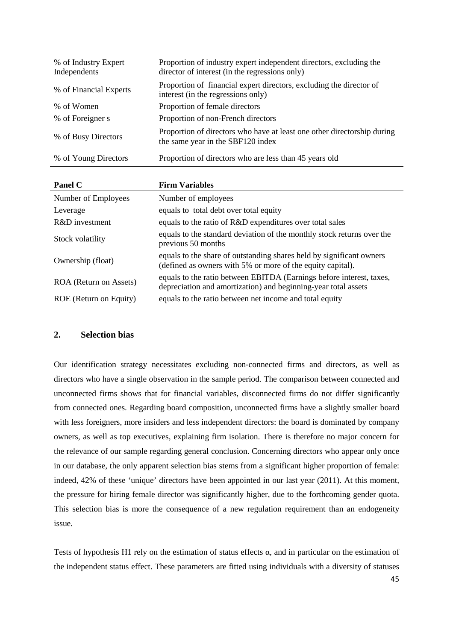| % of Industry Expert<br>Independents | Proportion of industry expert independent directors, excluding the<br>director of interest (in the regressions only) |
|--------------------------------------|----------------------------------------------------------------------------------------------------------------------|
| % of Financial Experts               | Proportion of financial expert directors, excluding the director of<br>interest (in the regressions only)            |
| % of Women                           | Proportion of female directors                                                                                       |
| % of Foreigner s                     | Proportion of non-French directors                                                                                   |
| % of Busy Directors                  | Proportion of directors who have at least one other directorship during<br>the same year in the SBF120 index         |
| % of Young Directors                 | Proportion of directors who are less than 45 years old                                                               |

| <b>Panel C</b>         | <b>Firm Variables</b>                                                                                                                  |
|------------------------|----------------------------------------------------------------------------------------------------------------------------------------|
| Number of Employees    | Number of employees                                                                                                                    |
| Leverage               | equals to total debt over total equity                                                                                                 |
| R&D investment         | equals to the ratio of R&D expenditures over total sales                                                                               |
| Stock volatility       | equals to the standard deviation of the monthly stock returns over the<br>previous 50 months                                           |
| Ownership (float)      | equals to the share of outstanding shares held by significant owners<br>(defined as owners with 5% or more of the equity capital).     |
| ROA (Return on Assets) | equals to the ratio between EBITDA (Earnings before interest, taxes,<br>depreciation and amortization) and beginning-year total assets |
| ROE (Return on Equity) | equals to the ratio between net income and total equity                                                                                |

#### **2. Selection bias**

Our identification strategy necessitates excluding non-connected firms and directors, as well as directors who have a single observation in the sample period. The comparison between connected and unconnected firms shows that for financial variables, disconnected firms do not differ significantly from connected ones. Regarding board composition, unconnected firms have a slightly smaller board with less foreigners, more insiders and less independent directors: the board is dominated by company owners, as well as top executives, explaining firm isolation. There is therefore no major concern for the relevance of our sample regarding general conclusion. Concerning directors who appear only once in our database, the only apparent selection bias stems from a significant higher proportion of female: indeed, 42% of these 'unique' directors have been appointed in our last year (2011). At this moment, the pressure for hiring female director was significantly higher, due to the forthcoming gender quota. This selection bias is more the consequence of a new regulation requirement than an endogeneity issue.

Tests of hypothesis H1 rely on the estimation of status effects  $\alpha$ , and in particular on the estimation of the independent status effect. These parameters are fitted using individuals with a diversity of statuses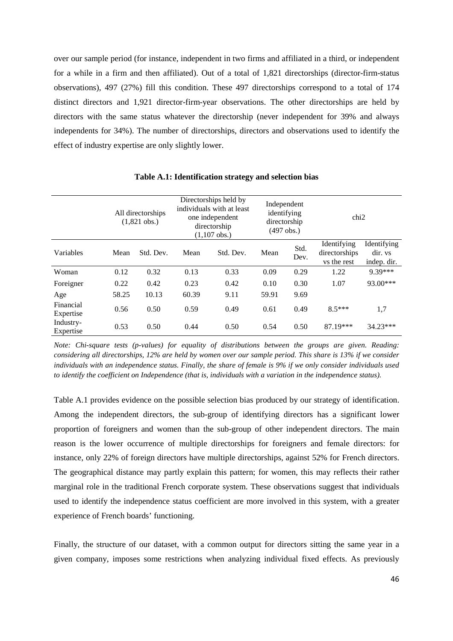over our sample period (for instance, independent in two firms and affiliated in a third, or independent for a while in a firm and then affiliated). Out of a total of 1,821 directorships (director-firm-status observations), 497 (27%) fill this condition. These 497 directorships correspond to a total of 174 distinct directors and 1,921 director-firm-year observations. The other directorships are held by directors with the same status whatever the directorship (never independent for 39% and always independents for 34%). The number of directorships, directors and observations used to identify the effect of industry expertise are only slightly lower.

|                        | All directorships<br>$(1,821 \text{ obs.})$ |           | Directorships held by<br>individuals with at least<br>one independent<br>directorship<br>$(1,107$ obs.) |           | Independent<br>identifying<br>directorship<br>(497 obs.) |              | chi <sub>2</sub>                            |                                       |
|------------------------|---------------------------------------------|-----------|---------------------------------------------------------------------------------------------------------|-----------|----------------------------------------------------------|--------------|---------------------------------------------|---------------------------------------|
| Variables              | Mean                                        | Std. Dev. | Mean                                                                                                    | Std. Dev. | Mean                                                     | Std.<br>Dev. | Identifying<br>directorships<br>vs the rest | Identifying<br>dir. ys<br>indep. dir. |
| Woman                  | 0.12                                        | 0.32      | 0.13                                                                                                    | 0.33      | 0.09                                                     | 0.29         | 1.22                                        | 9.39***                               |
| Foreigner              | 0.22                                        | 0.42      | 0.23                                                                                                    | 0.42      | 0.10                                                     | 0.30         | 1.07                                        | $93.00***$                            |
| Age                    | 58.25                                       | 10.13     | 60.39                                                                                                   | 9.11      | 59.91                                                    | 9.69         |                                             |                                       |
| Financial<br>Expertise | 0.56                                        | 0.50      | 0.59                                                                                                    | 0.49      | 0.61                                                     | 0.49         | $8.5***$                                    | 1,7                                   |
| Industry-<br>Expertise | 0.53                                        | 0.50      | 0.44                                                                                                    | 0.50      | 0.54                                                     | 0.50         | 87.19***                                    | 34.23***                              |

**Table A.1: Identification strategy and selection bias** 

*Note: Chi-square tests (p-values) for equality of distributions between the groups are given. Reading: considering all directorships, 12% are held by women over our sample period. This share is 13% if we consider individuals with an independence status. Finally, the share of female is 9% if we only consider individuals used to identify the coefficient on Independence (that is, individuals with a variation in the independence status).* 

Table A.1 provides evidence on the possible selection bias produced by our strategy of identification. Among the independent directors, the sub-group of identifying directors has a significant lower proportion of foreigners and women than the sub-group of other independent directors. The main reason is the lower occurrence of multiple directorships for foreigners and female directors: for instance, only 22% of foreign directors have multiple directorships, against 52% for French directors. The geographical distance may partly explain this pattern; for women, this may reflects their rather marginal role in the traditional French corporate system. These observations suggest that individuals used to identify the independence status coefficient are more involved in this system, with a greater experience of French boards' functioning.

Finally, the structure of our dataset, with a common output for directors sitting the same year in a given company, imposes some restrictions when analyzing individual fixed effects. As previously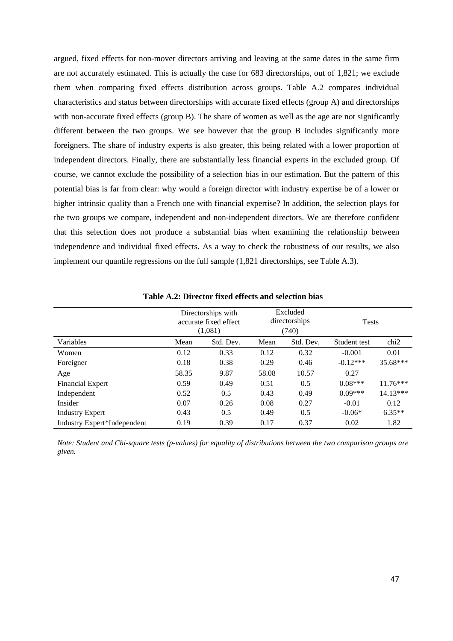argued, fixed effects for non-mover directors arriving and leaving at the same dates in the same firm are not accurately estimated. This is actually the case for 683 directorships, out of 1,821; we exclude them when comparing fixed effects distribution across groups. Table A.2 compares individual characteristics and status between directorships with accurate fixed effects (group A) and directorships with non-accurate fixed effects (group B). The share of women as well as the age are not significantly different between the two groups. We see however that the group B includes significantly more foreigners. The share of industry experts is also greater, this being related with a lower proportion of independent directors. Finally, there are substantially less financial experts in the excluded group. Of course, we cannot exclude the possibility of a selection bias in our estimation. But the pattern of this potential bias is far from clear: why would a foreign director with industry expertise be of a lower or higher intrinsic quality than a French one with financial expertise? In addition, the selection plays for the two groups we compare, independent and non-independent directors. We are therefore confident that this selection does not produce a substantial bias when examining the relationship between independence and individual fixed effects. As a way to check the robustness of our results, we also implement our quantile regressions on the full sample (1,821 directorships, see Table A.3).

|                             | Directorships with<br>accurate fixed effect<br>(1,081) |           |       | Excluded<br>directorships<br>(740) | <b>Tests</b> |                  |  |
|-----------------------------|--------------------------------------------------------|-----------|-------|------------------------------------|--------------|------------------|--|
| Variables                   | Mean                                                   | Std. Dev. | Mean  | Std. Dev.                          | Student test | chi <sub>2</sub> |  |
| Women                       | 0.12                                                   | 0.33      | 0.12  | 0.32                               | $-0.001$     | 0.01             |  |
| Foreigner                   | 0.18                                                   | 0.38      | 0.29  | 0.46                               | $-0.12***$   | $35.68***$       |  |
| Age                         | 58.35                                                  | 9.87      | 58.08 | 10.57                              | 0.27         |                  |  |
| <b>Financial Expert</b>     | 0.59                                                   | 0.49      | 0.51  | 0.5                                | $0.08***$    | $11.76***$       |  |
| Independent                 | 0.52                                                   | 0.5       | 0.43  | 0.49                               | $0.09***$    | 14.13***         |  |
| Insider                     | 0.07                                                   | 0.26      | 0.08  | 0.27                               | $-0.01$      | 0.12             |  |
| <b>Industry Expert</b>      | 0.43                                                   | 0.5       | 0.49  | 0.5                                | $-0.06*$     | $6.35**$         |  |
| Industry Expert*Independent | 0.19                                                   | 0.39      | 0.17  | 0.37                               | 0.02         | 1.82             |  |

**Table A.2: Director fixed effects and selection bias** 

*Note: Student and Chi-square tests (p-values) for equality of distributions between the two comparison groups are given.*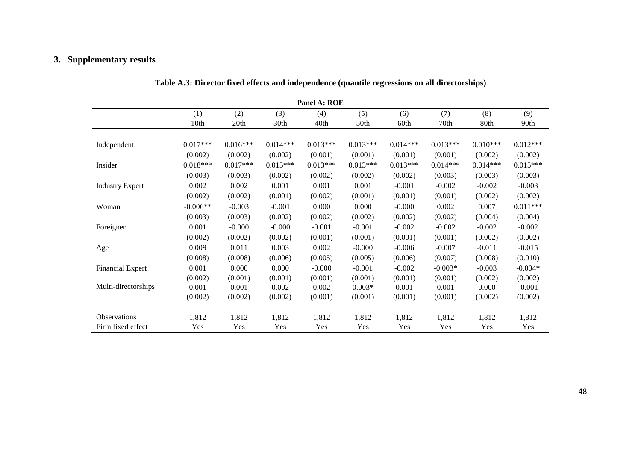#### **3. Supplementary results**

|                         | Panel A: ROE |            |            |            |            |            |            |            |            |
|-------------------------|--------------|------------|------------|------------|------------|------------|------------|------------|------------|
|                         | (1)          | (2)        | (3)        | (4)        | (5)        | (6)        | (7)        | (8)        | (9)        |
|                         | 10th         | 20th       | 30th       | 40th       | 50th       | 60th       | 70th       | 80th       | 90th       |
|                         |              |            |            |            |            |            |            |            |            |
| Independent             | $0.017***$   | $0.016***$ | $0.014***$ | $0.013***$ | $0.013***$ | $0.014***$ | $0.013***$ | $0.010***$ | $0.012***$ |
|                         | (0.002)      | (0.002)    | (0.002)    | (0.001)    | (0.001)    | (0.001)    | (0.001)    | (0.002)    | (0.002)    |
| Insider                 | $0.018***$   | $0.017***$ | $0.015***$ | $0.013***$ | $0.013***$ | $0.013***$ | $0.014***$ | $0.014***$ | $0.015***$ |
|                         | (0.003)      | (0.003)    | (0.002)    | (0.002)    | (0.002)    | (0.002)    | (0.003)    | (0.003)    | (0.003)    |
| <b>Industry Expert</b>  | 0.002        | 0.002      | 0.001      | 0.001      | 0.001      | $-0.001$   | $-0.002$   | $-0.002$   | $-0.003$   |
|                         | (0.002)      | (0.002)    | (0.001)    | (0.002)    | (0.001)    | (0.001)    | (0.001)    | (0.002)    | (0.002)    |
| Woman                   | $-0.006**$   | $-0.003$   | $-0.001$   | 0.000      | 0.000      | $-0.000$   | 0.002      | 0.007      | $0.011***$ |
|                         | (0.003)      | (0.003)    | (0.002)    | (0.002)    | (0.002)    | (0.002)    | (0.002)    | (0.004)    | (0.004)    |
| Foreigner               | 0.001        | $-0.000$   | $-0.000$   | $-0.001$   | $-0.001$   | $-0.002$   | $-0.002$   | $-0.002$   | $-0.002$   |
|                         | (0.002)      | (0.002)    | (0.002)    | (0.001)    | (0.001)    | (0.001)    | (0.001)    | (0.002)    | (0.002)    |
| Age                     | 0.009        | 0.011      | 0.003      | 0.002      | $-0.000$   | $-0.006$   | $-0.007$   | $-0.011$   | $-0.015$   |
|                         | (0.008)      | (0.008)    | (0.006)    | (0.005)    | (0.005)    | (0.006)    | (0.007)    | (0.008)    | (0.010)    |
| <b>Financial Expert</b> | 0.001        | 0.000      | 0.000      | $-0.000$   | $-0.001$   | $-0.002$   | $-0.003*$  | $-0.003$   | $-0.004*$  |
|                         | (0.002)      | (0.001)    | (0.001)    | (0.001)    | (0.001)    | (0.001)    | (0.001)    | (0.002)    | (0.002)    |
| Multi-directorships     | 0.001        | 0.001      | 0.002      | 0.002      | $0.003*$   | 0.001      | 0.001      | 0.000      | $-0.001$   |
|                         | (0.002)      | (0.002)    | (0.002)    | (0.001)    | (0.001)    | (0.001)    | (0.001)    | (0.002)    | (0.002)    |
|                         |              |            |            |            |            |            |            |            |            |
| Observations            | 1,812        | 1,812      | 1,812      | 1,812      | 1,812      | 1,812      | 1,812      | 1,812      | 1,812      |
| Firm fixed effect       | Yes          | Yes        | Yes        | Yes        | Yes        | Yes        | Yes        | Yes        | Yes        |

| Table A.3: Director fixed effects and independence (quantile regressions on all directorships) |  |  |  |
|------------------------------------------------------------------------------------------------|--|--|--|
|                                                                                                |  |  |  |